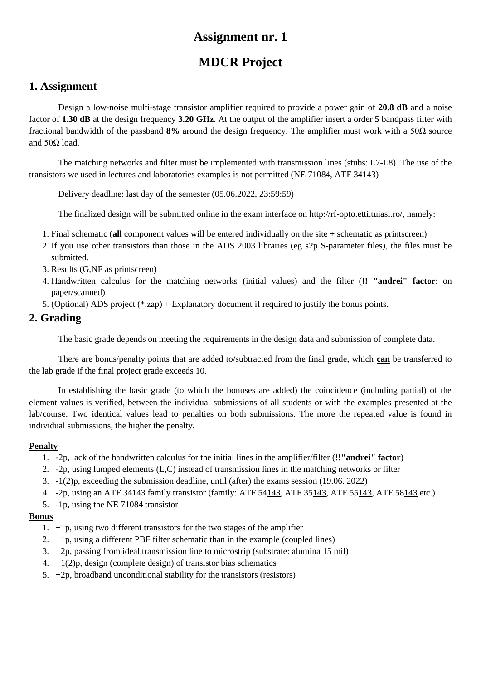# **MDCR Project**

## **1. Assignment**

Design a low-noise multi-stage transistor amplifier required to provide a power gain of **20.8 dB** and a noise factor of **1.30 dB** at the design frequency **3.20 GHz**. At the output of the amplifier insert a order **5** bandpass filter with fractional bandwidth of the passband **8%** around the design frequency. The amplifier must work with a 50Ω source and  $50Ω$  load.

The matching networks and filter must be implemented with transmission lines (stubs: L7-L8). The use of the transistors we used in lectures and laboratories examples is not permitted (NE 71084, ATF 34143)

Delivery deadline: last day of the semester (05.06.2022, 23:59:59)

The finalized design will be submitted online in the exam interface on http://rf-opto.etti.tuiasi.ro/, namely:

- 1. Final schematic (**all** component values will be entered individually on the site + schematic as printscreen)
- 2 If you use other transistors than those in the ADS 2003 libraries (eg s2p S-parameter files), the files must be submitted.
- 3. Results (G,NF as printscreen)
- 4. Handwritten calculus for the matching networks (initial values) and the filter (**!! "andrei" factor**: on paper/scanned)
- 5. (Optional) ADS project (\*.zap) + Explanatory document if required to justify the bonus points.

### **2. Grading**

The basic grade depends on meeting the requirements in the design data and submission of complete data.

There are bonus/penalty points that are added to/subtracted from the final grade, which **can** be transferred to the lab grade if the final project grade exceeds 10.

In establishing the basic grade (to which the bonuses are added) the coincidence (including partial) of the element values is verified, between the individual submissions of all students or with the examples presented at the lab/course. Two identical values lead to penalties on both submissions. The more the repeated value is found in individual submissions, the higher the penalty.

#### **Penalty**

- 1. -2p, lack of the handwritten calculus for the initial lines in the amplifier/filter (**!!"andrei" factor**)
- 2. -2p, using lumped elements (L,C) instead of transmission lines in the matching networks or filter
- 3. -1(2)p, exceeding the submission deadline, until (after) the exams session (19.06. 2022)
- 4. -2p, using an ATF 34143 family transistor (family: ATF 54143, ATF 35143, ATF 55143, ATF 58143 etc.)
- 5. -1p, using the NE 71084 transistor

- 1. +1p, using two different transistors for the two stages of the amplifier
- 2.  $+1p$ , using a different PBF filter schematic than in the example (coupled lines)
- 3. +2p, passing from ideal transmission line to microstrip (substrate: alumina 15 mil)
- 4.  $+1(2)p$ , design (complete design) of transistor bias schematics
- 5.  $+2p$ , broadband unconditional stability for the transistors (resistors)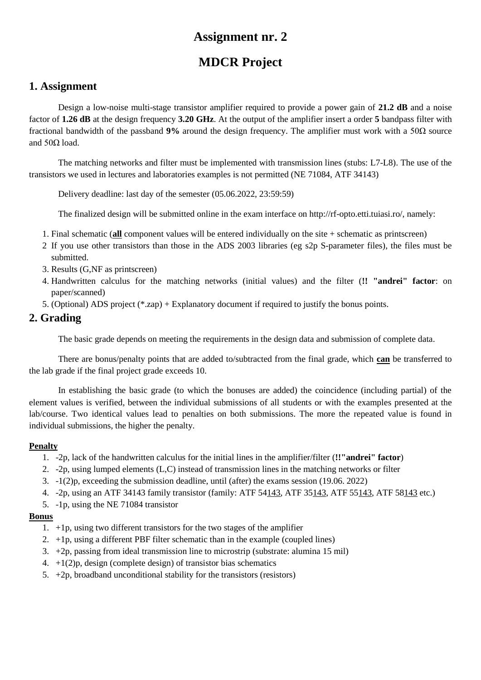# **MDCR Project**

## **1. Assignment**

Design a low-noise multi-stage transistor amplifier required to provide a power gain of **21.2 dB** and a noise factor of **1.26 dB** at the design frequency **3.20 GHz**. At the output of the amplifier insert a order **5** bandpass filter with fractional bandwidth of the passband **9%** around the design frequency. The amplifier must work with a 50Ω source and  $50Ω$  load.

The matching networks and filter must be implemented with transmission lines (stubs: L7-L8). The use of the transistors we used in lectures and laboratories examples is not permitted (NE 71084, ATF 34143)

Delivery deadline: last day of the semester (05.06.2022, 23:59:59)

The finalized design will be submitted online in the exam interface on http://rf-opto.etti.tuiasi.ro/, namely:

- 1. Final schematic (**all** component values will be entered individually on the site + schematic as printscreen)
- 2 If you use other transistors than those in the ADS 2003 libraries (eg s2p S-parameter files), the files must be submitted.
- 3. Results (G,NF as printscreen)
- 4. Handwritten calculus for the matching networks (initial values) and the filter (**!! "andrei" factor**: on paper/scanned)
- 5. (Optional) ADS project (\*.zap) + Explanatory document if required to justify the bonus points.

### **2. Grading**

The basic grade depends on meeting the requirements in the design data and submission of complete data.

There are bonus/penalty points that are added to/subtracted from the final grade, which **can** be transferred to the lab grade if the final project grade exceeds 10.

In establishing the basic grade (to which the bonuses are added) the coincidence (including partial) of the element values is verified, between the individual submissions of all students or with the examples presented at the lab/course. Two identical values lead to penalties on both submissions. The more the repeated value is found in individual submissions, the higher the penalty.

#### **Penalty**

- 1. -2p, lack of the handwritten calculus for the initial lines in the amplifier/filter (**!!"andrei" factor**)
- 2. -2p, using lumped elements (L,C) instead of transmission lines in the matching networks or filter
- 3. -1(2)p, exceeding the submission deadline, until (after) the exams session (19.06. 2022)
- 4. -2p, using an ATF 34143 family transistor (family: ATF 54143, ATF 35143, ATF 55143, ATF 58143 etc.)
- 5. -1p, using the NE 71084 transistor

- 1. +1p, using two different transistors for the two stages of the amplifier
- 2.  $+1p$ , using a different PBF filter schematic than in the example (coupled lines)
- 3. +2p, passing from ideal transmission line to microstrip (substrate: alumina 15 mil)
- 4.  $+1(2)p$ , design (complete design) of transistor bias schematics
- 5.  $+2p$ , broadband unconditional stability for the transistors (resistors)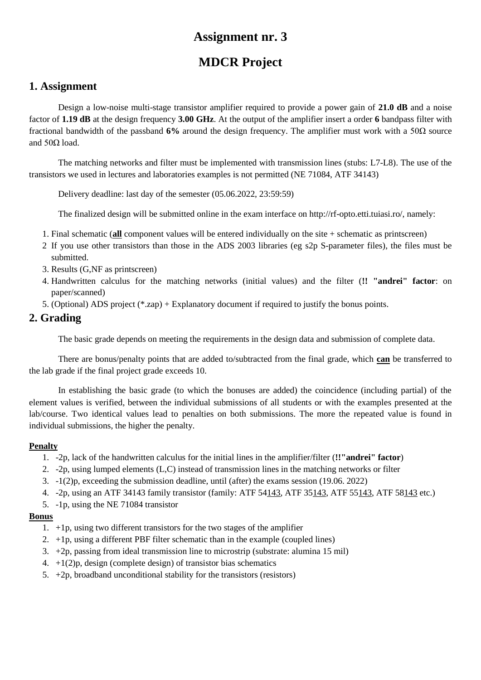# **MDCR Project**

## **1. Assignment**

Design a low-noise multi-stage transistor amplifier required to provide a power gain of **21.0 dB** and a noise factor of **1.19 dB** at the design frequency **3.00 GHz**. At the output of the amplifier insert a order **6** bandpass filter with fractional bandwidth of the passband **6%** around the design frequency. The amplifier must work with a 50Ω source and  $50Ω$  load.

The matching networks and filter must be implemented with transmission lines (stubs: L7-L8). The use of the transistors we used in lectures and laboratories examples is not permitted (NE 71084, ATF 34143)

Delivery deadline: last day of the semester (05.06.2022, 23:59:59)

The finalized design will be submitted online in the exam interface on http://rf-opto.etti.tuiasi.ro/, namely:

- 1. Final schematic (**all** component values will be entered individually on the site + schematic as printscreen)
- 2 If you use other transistors than those in the ADS 2003 libraries (eg s2p S-parameter files), the files must be submitted.
- 3. Results (G,NF as printscreen)
- 4. Handwritten calculus for the matching networks (initial values) and the filter (**!! "andrei" factor**: on paper/scanned)
- 5. (Optional) ADS project (\*.zap) + Explanatory document if required to justify the bonus points.

## **2. Grading**

The basic grade depends on meeting the requirements in the design data and submission of complete data.

There are bonus/penalty points that are added to/subtracted from the final grade, which **can** be transferred to the lab grade if the final project grade exceeds 10.

In establishing the basic grade (to which the bonuses are added) the coincidence (including partial) of the element values is verified, between the individual submissions of all students or with the examples presented at the lab/course. Two identical values lead to penalties on both submissions. The more the repeated value is found in individual submissions, the higher the penalty.

#### **Penalty**

- 1. -2p, lack of the handwritten calculus for the initial lines in the amplifier/filter (**!!"andrei" factor**)
- 2. -2p, using lumped elements (L,C) instead of transmission lines in the matching networks or filter
- 3. -1(2)p, exceeding the submission deadline, until (after) the exams session (19.06. 2022)
- 4. -2p, using an ATF 34143 family transistor (family: ATF 54143, ATF 35143, ATF 55143, ATF 58143 etc.)
- 5. -1p, using the NE 71084 transistor

- 1. +1p, using two different transistors for the two stages of the amplifier
- 2.  $+1p$ , using a different PBF filter schematic than in the example (coupled lines)
- 3. +2p, passing from ideal transmission line to microstrip (substrate: alumina 15 mil)
- 4.  $+1(2)p$ , design (complete design) of transistor bias schematics
- 5.  $+2p$ , broadband unconditional stability for the transistors (resistors)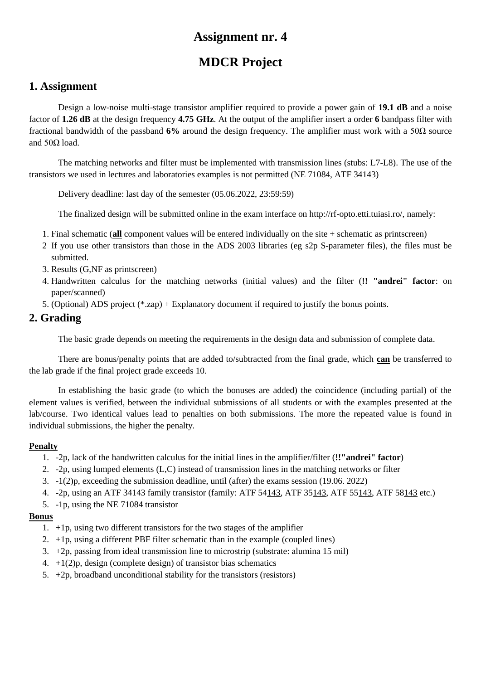# **MDCR Project**

## **1. Assignment**

Design a low-noise multi-stage transistor amplifier required to provide a power gain of **19.1 dB** and a noise factor of **1.26 dB** at the design frequency **4.75 GHz**. At the output of the amplifier insert a order **6** bandpass filter with fractional bandwidth of the passband **6%** around the design frequency. The amplifier must work with a 50Ω source and  $50Ω$  load.

The matching networks and filter must be implemented with transmission lines (stubs: L7-L8). The use of the transistors we used in lectures and laboratories examples is not permitted (NE 71084, ATF 34143)

Delivery deadline: last day of the semester (05.06.2022, 23:59:59)

The finalized design will be submitted online in the exam interface on http://rf-opto.etti.tuiasi.ro/, namely:

- 1. Final schematic (**all** component values will be entered individually on the site + schematic as printscreen)
- 2 If you use other transistors than those in the ADS 2003 libraries (eg s2p S-parameter files), the files must be submitted.
- 3. Results (G,NF as printscreen)
- 4. Handwritten calculus for the matching networks (initial values) and the filter (**!! "andrei" factor**: on paper/scanned)
- 5. (Optional) ADS project (\*.zap) + Explanatory document if required to justify the bonus points.

### **2. Grading**

The basic grade depends on meeting the requirements in the design data and submission of complete data.

There are bonus/penalty points that are added to/subtracted from the final grade, which **can** be transferred to the lab grade if the final project grade exceeds 10.

In establishing the basic grade (to which the bonuses are added) the coincidence (including partial) of the element values is verified, between the individual submissions of all students or with the examples presented at the lab/course. Two identical values lead to penalties on both submissions. The more the repeated value is found in individual submissions, the higher the penalty.

#### **Penalty**

- 1. -2p, lack of the handwritten calculus for the initial lines in the amplifier/filter (**!!"andrei" factor**)
- 2. -2p, using lumped elements (L,C) instead of transmission lines in the matching networks or filter
- 3. -1(2)p, exceeding the submission deadline, until (after) the exams session (19.06. 2022)
- 4. -2p, using an ATF 34143 family transistor (family: ATF 54143, ATF 35143, ATF 55143, ATF 58143 etc.)
- 5. -1p, using the NE 71084 transistor

- 1. +1p, using two different transistors for the two stages of the amplifier
- 2.  $+1p$ , using a different PBF filter schematic than in the example (coupled lines)
- 3. +2p, passing from ideal transmission line to microstrip (substrate: alumina 15 mil)
- 4.  $+1(2)p$ , design (complete design) of transistor bias schematics
- 5.  $+2p$ , broadband unconditional stability for the transistors (resistors)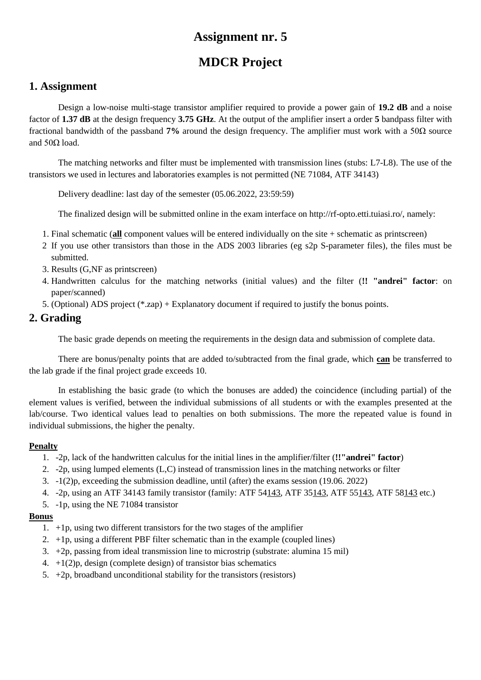# **MDCR Project**

## **1. Assignment**

Design a low-noise multi-stage transistor amplifier required to provide a power gain of **19.2 dB** and a noise factor of **1.37 dB** at the design frequency **3.75 GHz**. At the output of the amplifier insert a order **5** bandpass filter with fractional bandwidth of the passband **7%** around the design frequency. The amplifier must work with a 50Ω source and  $50Ω$  load.

The matching networks and filter must be implemented with transmission lines (stubs: L7-L8). The use of the transistors we used in lectures and laboratories examples is not permitted (NE 71084, ATF 34143)

Delivery deadline: last day of the semester (05.06.2022, 23:59:59)

The finalized design will be submitted online in the exam interface on http://rf-opto.etti.tuiasi.ro/, namely:

- 1. Final schematic (**all** component values will be entered individually on the site + schematic as printscreen)
- 2 If you use other transistors than those in the ADS 2003 libraries (eg s2p S-parameter files), the files must be submitted.
- 3. Results (G,NF as printscreen)
- 4. Handwritten calculus for the matching networks (initial values) and the filter (**!! "andrei" factor**: on paper/scanned)
- 5. (Optional) ADS project (\*.zap) + Explanatory document if required to justify the bonus points.

## **2. Grading**

The basic grade depends on meeting the requirements in the design data and submission of complete data.

There are bonus/penalty points that are added to/subtracted from the final grade, which **can** be transferred to the lab grade if the final project grade exceeds 10.

In establishing the basic grade (to which the bonuses are added) the coincidence (including partial) of the element values is verified, between the individual submissions of all students or with the examples presented at the lab/course. Two identical values lead to penalties on both submissions. The more the repeated value is found in individual submissions, the higher the penalty.

#### **Penalty**

- 1. -2p, lack of the handwritten calculus for the initial lines in the amplifier/filter (**!!"andrei" factor**)
- 2. -2p, using lumped elements (L,C) instead of transmission lines in the matching networks or filter
- 3. -1(2)p, exceeding the submission deadline, until (after) the exams session (19.06. 2022)
- 4. -2p, using an ATF 34143 family transistor (family: ATF 54143, ATF 35143, ATF 55143, ATF 58143 etc.)
- 5. -1p, using the NE 71084 transistor

- 1. +1p, using two different transistors for the two stages of the amplifier
- 2.  $+1p$ , using a different PBF filter schematic than in the example (coupled lines)
- 3. +2p, passing from ideal transmission line to microstrip (substrate: alumina 15 mil)
- 4.  $+1(2)p$ , design (complete design) of transistor bias schematics
- 5.  $+2p$ , broadband unconditional stability for the transistors (resistors)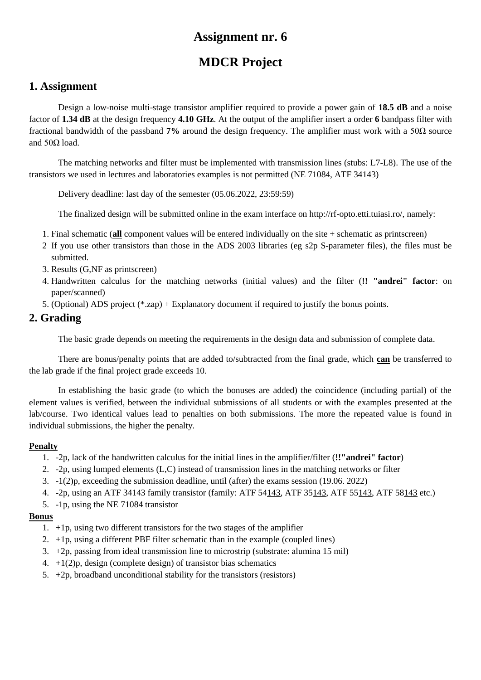# **MDCR Project**

### **1. Assignment**

Design a low-noise multi-stage transistor amplifier required to provide a power gain of **18.5 dB** and a noise factor of **1.34 dB** at the design frequency **4.10 GHz**. At the output of the amplifier insert a order **6** bandpass filter with fractional bandwidth of the passband **7%** around the design frequency. The amplifier must work with a 50Ω source and  $50Ω$  load.

The matching networks and filter must be implemented with transmission lines (stubs: L7-L8). The use of the transistors we used in lectures and laboratories examples is not permitted (NE 71084, ATF 34143)

Delivery deadline: last day of the semester (05.06.2022, 23:59:59)

The finalized design will be submitted online in the exam interface on http://rf-opto.etti.tuiasi.ro/, namely:

- 1. Final schematic (**all** component values will be entered individually on the site + schematic as printscreen)
- 2 If you use other transistors than those in the ADS 2003 libraries (eg s2p S-parameter files), the files must be submitted.
- 3. Results (G,NF as printscreen)
- 4. Handwritten calculus for the matching networks (initial values) and the filter (**!! "andrei" factor**: on paper/scanned)
- 5. (Optional) ADS project (\*.zap) + Explanatory document if required to justify the bonus points.

### **2. Grading**

The basic grade depends on meeting the requirements in the design data and submission of complete data.

There are bonus/penalty points that are added to/subtracted from the final grade, which **can** be transferred to the lab grade if the final project grade exceeds 10.

In establishing the basic grade (to which the bonuses are added) the coincidence (including partial) of the element values is verified, between the individual submissions of all students or with the examples presented at the lab/course. Two identical values lead to penalties on both submissions. The more the repeated value is found in individual submissions, the higher the penalty.

#### **Penalty**

- 1. -2p, lack of the handwritten calculus for the initial lines in the amplifier/filter (**!!"andrei" factor**)
- 2. -2p, using lumped elements (L,C) instead of transmission lines in the matching networks or filter
- 3. -1(2)p, exceeding the submission deadline, until (after) the exams session (19.06. 2022)
- 4. -2p, using an ATF 34143 family transistor (family: ATF 54143, ATF 35143, ATF 55143, ATF 58143 etc.)
- 5. -1p, using the NE 71084 transistor

- 1. +1p, using two different transistors for the two stages of the amplifier
- 2.  $+1p$ , using a different PBF filter schematic than in the example (coupled lines)
- 3. +2p, passing from ideal transmission line to microstrip (substrate: alumina 15 mil)
- 4.  $+1(2)p$ , design (complete design) of transistor bias schematics
- 5.  $+2p$ , broadband unconditional stability for the transistors (resistors)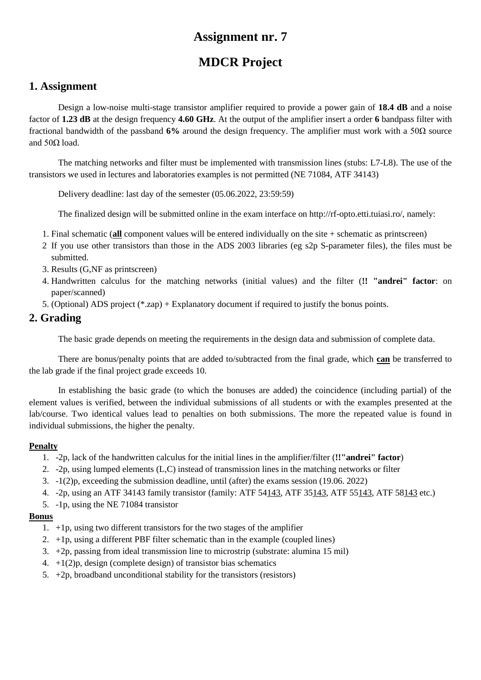# **MDCR Project**

## **1. Assignment**

Design a low-noise multi-stage transistor amplifier required to provide a power gain of **18.4 dB** and a noise factor of **1.23 dB** at the design frequency **4.60 GHz**. At the output of the amplifier insert a order **6** bandpass filter with fractional bandwidth of the passband **6%** around the design frequency. The amplifier must work with a 50Ω source and  $50Ω$  load.

The matching networks and filter must be implemented with transmission lines (stubs: L7-L8). The use of the transistors we used in lectures and laboratories examples is not permitted (NE 71084, ATF 34143)

Delivery deadline: last day of the semester (05.06.2022, 23:59:59)

The finalized design will be submitted online in the exam interface on http://rf-opto.etti.tuiasi.ro/, namely:

- 1. Final schematic (**all** component values will be entered individually on the site + schematic as printscreen)
- 2 If you use other transistors than those in the ADS 2003 libraries (eg s2p S-parameter files), the files must be submitted.
- 3. Results (G,NF as printscreen)
- 4. Handwritten calculus for the matching networks (initial values) and the filter (**!! "andrei" factor**: on paper/scanned)
- 5. (Optional) ADS project (\*.zap) + Explanatory document if required to justify the bonus points.

### **2. Grading**

The basic grade depends on meeting the requirements in the design data and submission of complete data.

There are bonus/penalty points that are added to/subtracted from the final grade, which **can** be transferred to the lab grade if the final project grade exceeds 10.

In establishing the basic grade (to which the bonuses are added) the coincidence (including partial) of the element values is verified, between the individual submissions of all students or with the examples presented at the lab/course. Two identical values lead to penalties on both submissions. The more the repeated value is found in individual submissions, the higher the penalty.

#### **Penalty**

- 1. -2p, lack of the handwritten calculus for the initial lines in the amplifier/filter (**!!"andrei" factor**)
- 2. -2p, using lumped elements (L,C) instead of transmission lines in the matching networks or filter
- 3. -1(2)p, exceeding the submission deadline, until (after) the exams session (19.06. 2022)
- 4. -2p, using an ATF 34143 family transistor (family: ATF 54143, ATF 35143, ATF 55143, ATF 58143 etc.)
- 5. -1p, using the NE 71084 transistor

- 1. +1p, using two different transistors for the two stages of the amplifier
- 2.  $+1p$ , using a different PBF filter schematic than in the example (coupled lines)
- 3. +2p, passing from ideal transmission line to microstrip (substrate: alumina 15 mil)
- 4.  $+1(2)p$ , design (complete design) of transistor bias schematics
- 5.  $+2p$ , broadband unconditional stability for the transistors (resistors)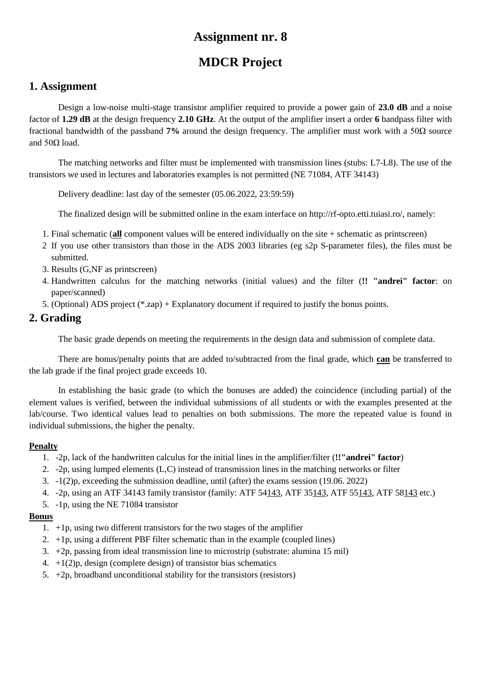# **MDCR Project**

## **1. Assignment**

Design a low-noise multi-stage transistor amplifier required to provide a power gain of **23.0 dB** and a noise factor of **1.29 dB** at the design frequency **2.10 GHz**. At the output of the amplifier insert a order **6** bandpass filter with fractional bandwidth of the passband **7%** around the design frequency. The amplifier must work with a 50Ω source and  $50Ω$  load.

The matching networks and filter must be implemented with transmission lines (stubs: L7-L8). The use of the transistors we used in lectures and laboratories examples is not permitted (NE 71084, ATF 34143)

Delivery deadline: last day of the semester (05.06.2022, 23:59:59)

The finalized design will be submitted online in the exam interface on http://rf-opto.etti.tuiasi.ro/, namely:

- 1. Final schematic (**all** component values will be entered individually on the site + schematic as printscreen)
- 2 If you use other transistors than those in the ADS 2003 libraries (eg s2p S-parameter files), the files must be submitted.
- 3. Results (G,NF as printscreen)
- 4. Handwritten calculus for the matching networks (initial values) and the filter (**!! "andrei" factor**: on paper/scanned)
- 5. (Optional) ADS project (\*.zap) + Explanatory document if required to justify the bonus points.

### **2. Grading**

The basic grade depends on meeting the requirements in the design data and submission of complete data.

There are bonus/penalty points that are added to/subtracted from the final grade, which **can** be transferred to the lab grade if the final project grade exceeds 10.

In establishing the basic grade (to which the bonuses are added) the coincidence (including partial) of the element values is verified, between the individual submissions of all students or with the examples presented at the lab/course. Two identical values lead to penalties on both submissions. The more the repeated value is found in individual submissions, the higher the penalty.

#### **Penalty**

- 1. -2p, lack of the handwritten calculus for the initial lines in the amplifier/filter (**!!"andrei" factor**)
- 2. -2p, using lumped elements (L,C) instead of transmission lines in the matching networks or filter
- 3. -1(2)p, exceeding the submission deadline, until (after) the exams session (19.06. 2022)
- 4. -2p, using an ATF 34143 family transistor (family: ATF 54143, ATF 35143, ATF 55143, ATF 58143 etc.)
- 5. -1p, using the NE 71084 transistor

- 1. +1p, using two different transistors for the two stages of the amplifier
- 2.  $+1p$ , using a different PBF filter schematic than in the example (coupled lines)
- 3. +2p, passing from ideal transmission line to microstrip (substrate: alumina 15 mil)
- 4.  $+1(2)p$ , design (complete design) of transistor bias schematics
- 5.  $+2p$ , broadband unconditional stability for the transistors (resistors)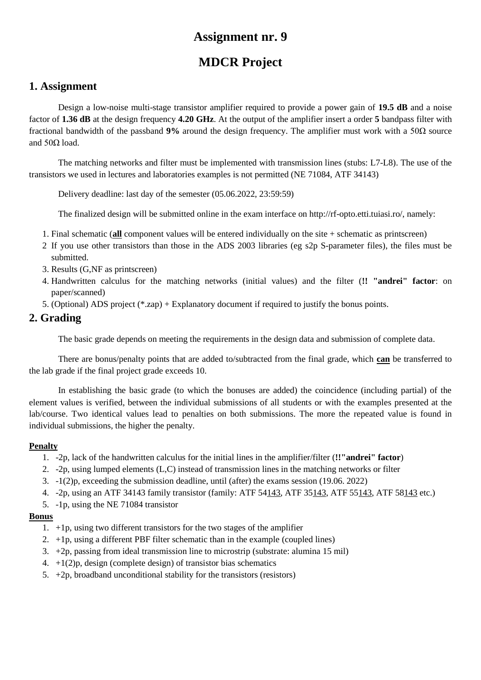# **MDCR Project**

## **1. Assignment**

Design a low-noise multi-stage transistor amplifier required to provide a power gain of **19.5 dB** and a noise factor of **1.36 dB** at the design frequency **4.20 GHz**. At the output of the amplifier insert a order **5** bandpass filter with fractional bandwidth of the passband **9%** around the design frequency. The amplifier must work with a 50Ω source and  $50Ω$  load.

The matching networks and filter must be implemented with transmission lines (stubs: L7-L8). The use of the transistors we used in lectures and laboratories examples is not permitted (NE 71084, ATF 34143)

Delivery deadline: last day of the semester (05.06.2022, 23:59:59)

The finalized design will be submitted online in the exam interface on http://rf-opto.etti.tuiasi.ro/, namely:

- 1. Final schematic (**all** component values will be entered individually on the site + schematic as printscreen)
- 2 If you use other transistors than those in the ADS 2003 libraries (eg s2p S-parameter files), the files must be submitted.
- 3. Results (G,NF as printscreen)
- 4. Handwritten calculus for the matching networks (initial values) and the filter (**!! "andrei" factor**: on paper/scanned)
- 5. (Optional) ADS project (\*.zap) + Explanatory document if required to justify the bonus points.

### **2. Grading**

The basic grade depends on meeting the requirements in the design data and submission of complete data.

There are bonus/penalty points that are added to/subtracted from the final grade, which **can** be transferred to the lab grade if the final project grade exceeds 10.

In establishing the basic grade (to which the bonuses are added) the coincidence (including partial) of the element values is verified, between the individual submissions of all students or with the examples presented at the lab/course. Two identical values lead to penalties on both submissions. The more the repeated value is found in individual submissions, the higher the penalty.

#### **Penalty**

- 1. -2p, lack of the handwritten calculus for the initial lines in the amplifier/filter (**!!"andrei" factor**)
- 2. -2p, using lumped elements (L,C) instead of transmission lines in the matching networks or filter
- 3. -1(2)p, exceeding the submission deadline, until (after) the exams session (19.06. 2022)
- 4. -2p, using an ATF 34143 family transistor (family: ATF 54143, ATF 35143, ATF 55143, ATF 58143 etc.)
- 5. -1p, using the NE 71084 transistor

- 1. +1p, using two different transistors for the two stages of the amplifier
- 2.  $+1p$ , using a different PBF filter schematic than in the example (coupled lines)
- 3. +2p, passing from ideal transmission line to microstrip (substrate: alumina 15 mil)
- 4.  $+1(2)p$ , design (complete design) of transistor bias schematics
- 5.  $+2p$ , broadband unconditional stability for the transistors (resistors)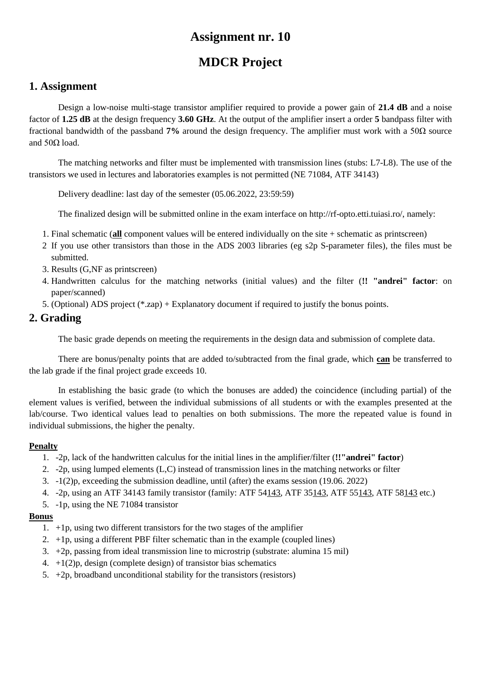# **MDCR Project**

## **1. Assignment**

Design a low-noise multi-stage transistor amplifier required to provide a power gain of **21.4 dB** and a noise factor of **1.25 dB** at the design frequency **3.60 GHz**. At the output of the amplifier insert a order **5** bandpass filter with fractional bandwidth of the passband **7%** around the design frequency. The amplifier must work with a 50Ω source and  $50Ω$  load.

The matching networks and filter must be implemented with transmission lines (stubs: L7-L8). The use of the transistors we used in lectures and laboratories examples is not permitted (NE 71084, ATF 34143)

Delivery deadline: last day of the semester (05.06.2022, 23:59:59)

The finalized design will be submitted online in the exam interface on http://rf-opto.etti.tuiasi.ro/, namely:

- 1. Final schematic (**all** component values will be entered individually on the site + schematic as printscreen)
- 2 If you use other transistors than those in the ADS 2003 libraries (eg s2p S-parameter files), the files must be submitted.
- 3. Results (G,NF as printscreen)
- 4. Handwritten calculus for the matching networks (initial values) and the filter (**!! "andrei" factor**: on paper/scanned)
- 5. (Optional) ADS project (\*.zap) + Explanatory document if required to justify the bonus points.

### **2. Grading**

The basic grade depends on meeting the requirements in the design data and submission of complete data.

There are bonus/penalty points that are added to/subtracted from the final grade, which **can** be transferred to the lab grade if the final project grade exceeds 10.

In establishing the basic grade (to which the bonuses are added) the coincidence (including partial) of the element values is verified, between the individual submissions of all students or with the examples presented at the lab/course. Two identical values lead to penalties on both submissions. The more the repeated value is found in individual submissions, the higher the penalty.

#### **Penalty**

- 1. -2p, lack of the handwritten calculus for the initial lines in the amplifier/filter (**!!"andrei" factor**)
- 2. -2p, using lumped elements (L,C) instead of transmission lines in the matching networks or filter
- 3. -1(2)p, exceeding the submission deadline, until (after) the exams session (19.06. 2022)
- 4. -2p, using an ATF 34143 family transistor (family: ATF 54143, ATF 35143, ATF 55143, ATF 58143 etc.)
- 5. -1p, using the NE 71084 transistor

- 1. +1p, using two different transistors for the two stages of the amplifier
- 2.  $+1p$ , using a different PBF filter schematic than in the example (coupled lines)
- 3. +2p, passing from ideal transmission line to microstrip (substrate: alumina 15 mil)
- 4.  $+1(2)p$ , design (complete design) of transistor bias schematics
- 5.  $+2p$ , broadband unconditional stability for the transistors (resistors)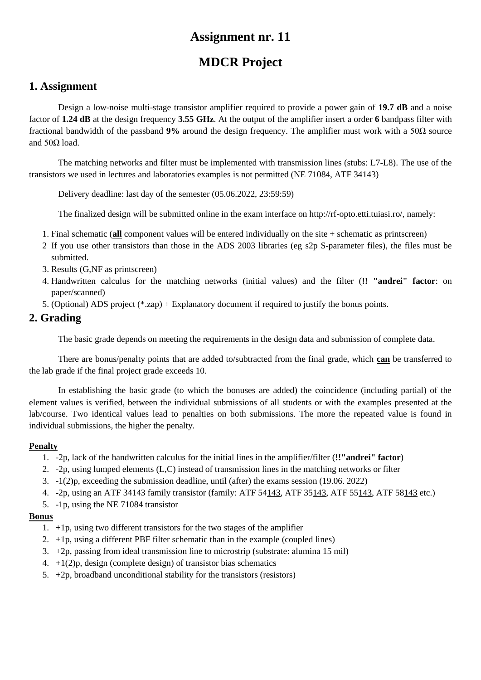# **MDCR Project**

## **1. Assignment**

Design a low-noise multi-stage transistor amplifier required to provide a power gain of **19.7 dB** and a noise factor of **1.24 dB** at the design frequency **3.55 GHz**. At the output of the amplifier insert a order **6** bandpass filter with fractional bandwidth of the passband **9%** around the design frequency. The amplifier must work with a 50Ω source and  $50Ω$  load.

The matching networks and filter must be implemented with transmission lines (stubs: L7-L8). The use of the transistors we used in lectures and laboratories examples is not permitted (NE 71084, ATF 34143)

Delivery deadline: last day of the semester (05.06.2022, 23:59:59)

The finalized design will be submitted online in the exam interface on http://rf-opto.etti.tuiasi.ro/, namely:

- 1. Final schematic (**all** component values will be entered individually on the site + schematic as printscreen)
- 2 If you use other transistors than those in the ADS 2003 libraries (eg s2p S-parameter files), the files must be submitted.
- 3. Results (G,NF as printscreen)
- 4. Handwritten calculus for the matching networks (initial values) and the filter (**!! "andrei" factor**: on paper/scanned)
- 5. (Optional) ADS project (\*.zap) + Explanatory document if required to justify the bonus points.

### **2. Grading**

The basic grade depends on meeting the requirements in the design data and submission of complete data.

There are bonus/penalty points that are added to/subtracted from the final grade, which **can** be transferred to the lab grade if the final project grade exceeds 10.

In establishing the basic grade (to which the bonuses are added) the coincidence (including partial) of the element values is verified, between the individual submissions of all students or with the examples presented at the lab/course. Two identical values lead to penalties on both submissions. The more the repeated value is found in individual submissions, the higher the penalty.

#### **Penalty**

- 1. -2p, lack of the handwritten calculus for the initial lines in the amplifier/filter (**!!"andrei" factor**)
- 2. -2p, using lumped elements (L,C) instead of transmission lines in the matching networks or filter
- 3. -1(2)p, exceeding the submission deadline, until (after) the exams session (19.06. 2022)
- 4. -2p, using an ATF 34143 family transistor (family: ATF 54143, ATF 35143, ATF 55143, ATF 58143 etc.)
- 5. -1p, using the NE 71084 transistor

- 1. +1p, using two different transistors for the two stages of the amplifier
- 2.  $+1p$ , using a different PBF filter schematic than in the example (coupled lines)
- 3. +2p, passing from ideal transmission line to microstrip (substrate: alumina 15 mil)
- 4.  $+1(2)p$ , design (complete design) of transistor bias schematics
- 5.  $+2p$ , broadband unconditional stability for the transistors (resistors)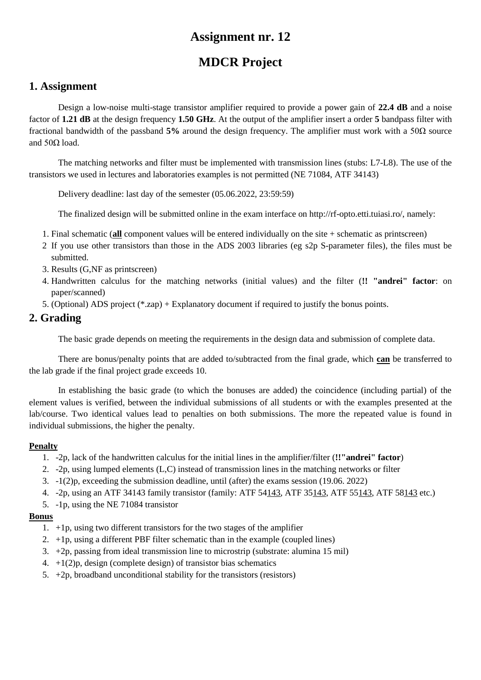# **MDCR Project**

### **1. Assignment**

Design a low-noise multi-stage transistor amplifier required to provide a power gain of **22.4 dB** and a noise factor of **1.21 dB** at the design frequency **1.50 GHz**. At the output of the amplifier insert a order **5** bandpass filter with fractional bandwidth of the passband **5%** around the design frequency. The amplifier must work with a 50Ω source and  $50Ω$  load.

The matching networks and filter must be implemented with transmission lines (stubs: L7-L8). The use of the transistors we used in lectures and laboratories examples is not permitted (NE 71084, ATF 34143)

Delivery deadline: last day of the semester (05.06.2022, 23:59:59)

The finalized design will be submitted online in the exam interface on http://rf-opto.etti.tuiasi.ro/, namely:

- 1. Final schematic (**all** component values will be entered individually on the site + schematic as printscreen)
- 2 If you use other transistors than those in the ADS 2003 libraries (eg s2p S-parameter files), the files must be submitted.
- 3. Results (G,NF as printscreen)
- 4. Handwritten calculus for the matching networks (initial values) and the filter (**!! "andrei" factor**: on paper/scanned)
- 5. (Optional) ADS project (\*.zap) + Explanatory document if required to justify the bonus points.

### **2. Grading**

The basic grade depends on meeting the requirements in the design data and submission of complete data.

There are bonus/penalty points that are added to/subtracted from the final grade, which **can** be transferred to the lab grade if the final project grade exceeds 10.

In establishing the basic grade (to which the bonuses are added) the coincidence (including partial) of the element values is verified, between the individual submissions of all students or with the examples presented at the lab/course. Two identical values lead to penalties on both submissions. The more the repeated value is found in individual submissions, the higher the penalty.

#### **Penalty**

- 1. -2p, lack of the handwritten calculus for the initial lines in the amplifier/filter (**!!"andrei" factor**)
- 2. -2p, using lumped elements (L,C) instead of transmission lines in the matching networks or filter
- 3. -1(2)p, exceeding the submission deadline, until (after) the exams session (19.06. 2022)
- 4. -2p, using an ATF 34143 family transistor (family: ATF 54143, ATF 35143, ATF 55143, ATF 58143 etc.)
- 5. -1p, using the NE 71084 transistor

- 1. +1p, using two different transistors for the two stages of the amplifier
- 2.  $+1p$ , using a different PBF filter schematic than in the example (coupled lines)
- 3. +2p, passing from ideal transmission line to microstrip (substrate: alumina 15 mil)
- 4.  $+1(2)p$ , design (complete design) of transistor bias schematics
- 5.  $+2p$ , broadband unconditional stability for the transistors (resistors)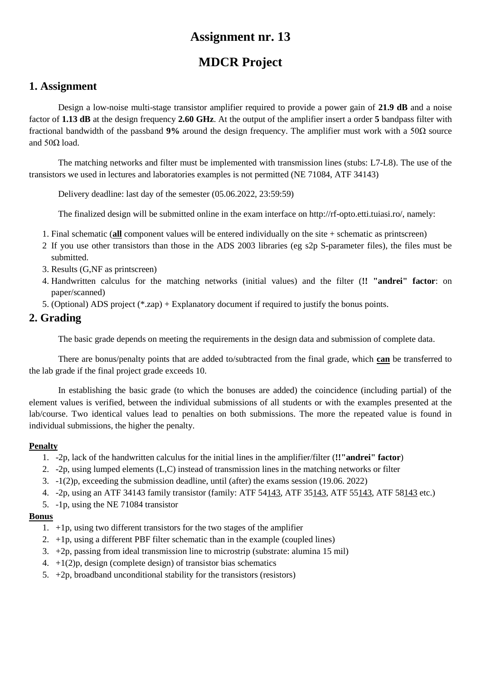# **MDCR Project**

## **1. Assignment**

Design a low-noise multi-stage transistor amplifier required to provide a power gain of **21.9 dB** and a noise factor of **1.13 dB** at the design frequency **2.60 GHz**. At the output of the amplifier insert a order **5** bandpass filter with fractional bandwidth of the passband **9%** around the design frequency. The amplifier must work with a 50Ω source and  $50Ω$  load.

The matching networks and filter must be implemented with transmission lines (stubs: L7-L8). The use of the transistors we used in lectures and laboratories examples is not permitted (NE 71084, ATF 34143)

Delivery deadline: last day of the semester (05.06.2022, 23:59:59)

The finalized design will be submitted online in the exam interface on http://rf-opto.etti.tuiasi.ro/, namely:

- 1. Final schematic (**all** component values will be entered individually on the site + schematic as printscreen)
- 2 If you use other transistors than those in the ADS 2003 libraries (eg s2p S-parameter files), the files must be submitted.
- 3. Results (G,NF as printscreen)
- 4. Handwritten calculus for the matching networks (initial values) and the filter (**!! "andrei" factor**: on paper/scanned)
- 5. (Optional) ADS project (\*.zap) + Explanatory document if required to justify the bonus points.

## **2. Grading**

The basic grade depends on meeting the requirements in the design data and submission of complete data.

There are bonus/penalty points that are added to/subtracted from the final grade, which **can** be transferred to the lab grade if the final project grade exceeds 10.

In establishing the basic grade (to which the bonuses are added) the coincidence (including partial) of the element values is verified, between the individual submissions of all students or with the examples presented at the lab/course. Two identical values lead to penalties on both submissions. The more the repeated value is found in individual submissions, the higher the penalty.

#### **Penalty**

- 1. -2p, lack of the handwritten calculus for the initial lines in the amplifier/filter (**!!"andrei" factor**)
- 2. -2p, using lumped elements (L,C) instead of transmission lines in the matching networks or filter
- 3. -1(2)p, exceeding the submission deadline, until (after) the exams session (19.06. 2022)
- 4. -2p, using an ATF 34143 family transistor (family: ATF 54143, ATF 35143, ATF 55143, ATF 58143 etc.)
- 5. -1p, using the NE 71084 transistor

- 1. +1p, using two different transistors for the two stages of the amplifier
- 2.  $+1p$ , using a different PBF filter schematic than in the example (coupled lines)
- 3. +2p, passing from ideal transmission line to microstrip (substrate: alumina 15 mil)
- 4.  $+1(2)p$ , design (complete design) of transistor bias schematics
- 5.  $+2p$ , broadband unconditional stability for the transistors (resistors)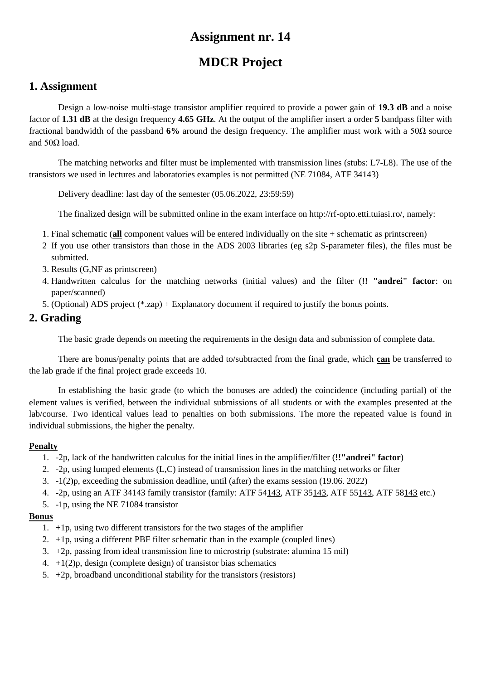# **MDCR Project**

## **1. Assignment**

Design a low-noise multi-stage transistor amplifier required to provide a power gain of **19.3 dB** and a noise factor of **1.31 dB** at the design frequency **4.65 GHz**. At the output of the amplifier insert a order **5** bandpass filter with fractional bandwidth of the passband **6%** around the design frequency. The amplifier must work with a 50Ω source and  $50Ω$  load.

The matching networks and filter must be implemented with transmission lines (stubs: L7-L8). The use of the transistors we used in lectures and laboratories examples is not permitted (NE 71084, ATF 34143)

Delivery deadline: last day of the semester (05.06.2022, 23:59:59)

The finalized design will be submitted online in the exam interface on http://rf-opto.etti.tuiasi.ro/, namely:

- 1. Final schematic (**all** component values will be entered individually on the site + schematic as printscreen)
- 2 If you use other transistors than those in the ADS 2003 libraries (eg s2p S-parameter files), the files must be submitted.
- 3. Results (G,NF as printscreen)
- 4. Handwritten calculus for the matching networks (initial values) and the filter (**!! "andrei" factor**: on paper/scanned)
- 5. (Optional) ADS project (\*.zap) + Explanatory document if required to justify the bonus points.

## **2. Grading**

The basic grade depends on meeting the requirements in the design data and submission of complete data.

There are bonus/penalty points that are added to/subtracted from the final grade, which **can** be transferred to the lab grade if the final project grade exceeds 10.

In establishing the basic grade (to which the bonuses are added) the coincidence (including partial) of the element values is verified, between the individual submissions of all students or with the examples presented at the lab/course. Two identical values lead to penalties on both submissions. The more the repeated value is found in individual submissions, the higher the penalty.

#### **Penalty**

- 1. -2p, lack of the handwritten calculus for the initial lines in the amplifier/filter (**!!"andrei" factor**)
- 2. -2p, using lumped elements (L,C) instead of transmission lines in the matching networks or filter
- 3. -1(2)p, exceeding the submission deadline, until (after) the exams session (19.06. 2022)
- 4. -2p, using an ATF 34143 family transistor (family: ATF 54143, ATF 35143, ATF 55143, ATF 58143 etc.)
- 5. -1p, using the NE 71084 transistor

- 1. +1p, using two different transistors for the two stages of the amplifier
- 2.  $+1p$ , using a different PBF filter schematic than in the example (coupled lines)
- 3. +2p, passing from ideal transmission line to microstrip (substrate: alumina 15 mil)
- 4.  $+1(2)p$ , design (complete design) of transistor bias schematics
- 5.  $+2p$ , broadband unconditional stability for the transistors (resistors)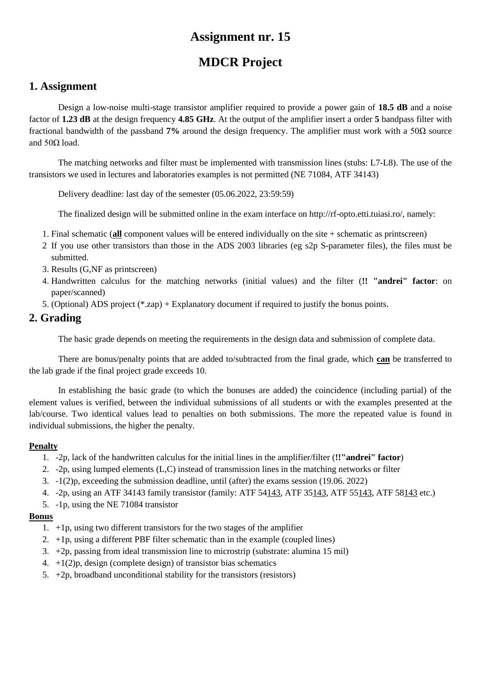# **MDCR Project**

## **1. Assignment**

Design a low-noise multi-stage transistor amplifier required to provide a power gain of **18.5 dB** and a noise factor of **1.23 dB** at the design frequency **4.85 GHz**. At the output of the amplifier insert a order **5** bandpass filter with fractional bandwidth of the passband **7%** around the design frequency. The amplifier must work with a 50Ω source and  $50Ω$  load.

The matching networks and filter must be implemented with transmission lines (stubs: L7-L8). The use of the transistors we used in lectures and laboratories examples is not permitted (NE 71084, ATF 34143)

Delivery deadline: last day of the semester (05.06.2022, 23:59:59)

The finalized design will be submitted online in the exam interface on http://rf-opto.etti.tuiasi.ro/, namely:

- 1. Final schematic (**all** component values will be entered individually on the site + schematic as printscreen)
- 2 If you use other transistors than those in the ADS 2003 libraries (eg s2p S-parameter files), the files must be submitted.
- 3. Results (G,NF as printscreen)
- 4. Handwritten calculus for the matching networks (initial values) and the filter (**!! "andrei" factor**: on paper/scanned)
- 5. (Optional) ADS project (\*.zap) + Explanatory document if required to justify the bonus points.

## **2. Grading**

The basic grade depends on meeting the requirements in the design data and submission of complete data.

There are bonus/penalty points that are added to/subtracted from the final grade, which **can** be transferred to the lab grade if the final project grade exceeds 10.

In establishing the basic grade (to which the bonuses are added) the coincidence (including partial) of the element values is verified, between the individual submissions of all students or with the examples presented at the lab/course. Two identical values lead to penalties on both submissions. The more the repeated value is found in individual submissions, the higher the penalty.

#### **Penalty**

- 1. -2p, lack of the handwritten calculus for the initial lines in the amplifier/filter (**!!"andrei" factor**)
- 2. -2p, using lumped elements (L,C) instead of transmission lines in the matching networks or filter
- 3. -1(2)p, exceeding the submission deadline, until (after) the exams session (19.06. 2022)
- 4. -2p, using an ATF 34143 family transistor (family: ATF 54143, ATF 35143, ATF 55143, ATF 58143 etc.)
- 5. -1p, using the NE 71084 transistor

- 1. +1p, using two different transistors for the two stages of the amplifier
- 2.  $+1p$ , using a different PBF filter schematic than in the example (coupled lines)
- 3. +2p, passing from ideal transmission line to microstrip (substrate: alumina 15 mil)
- 4.  $+1(2)p$ , design (complete design) of transistor bias schematics
- 5.  $+2p$ , broadband unconditional stability for the transistors (resistors)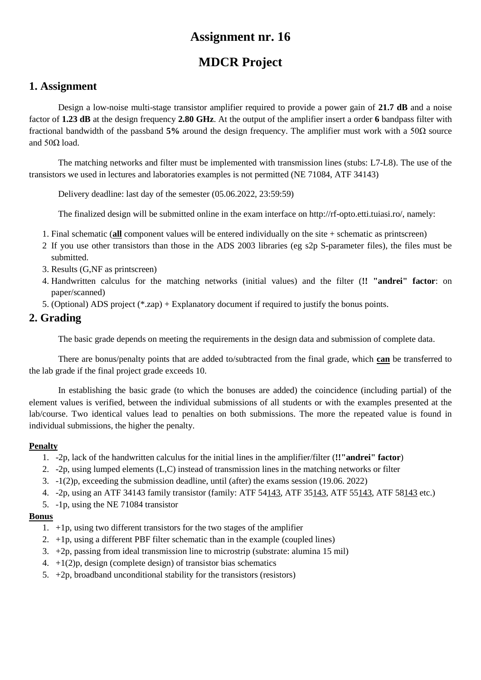# **MDCR Project**

## **1. Assignment**

Design a low-noise multi-stage transistor amplifier required to provide a power gain of **21.7 dB** and a noise factor of **1.23 dB** at the design frequency **2.80 GHz**. At the output of the amplifier insert a order **6** bandpass filter with fractional bandwidth of the passband **5%** around the design frequency. The amplifier must work with a 50Ω source and  $50Ω$  load.

The matching networks and filter must be implemented with transmission lines (stubs: L7-L8). The use of the transistors we used in lectures and laboratories examples is not permitted (NE 71084, ATF 34143)

Delivery deadline: last day of the semester (05.06.2022, 23:59:59)

The finalized design will be submitted online in the exam interface on http://rf-opto.etti.tuiasi.ro/, namely:

- 1. Final schematic (**all** component values will be entered individually on the site + schematic as printscreen)
- 2 If you use other transistors than those in the ADS 2003 libraries (eg s2p S-parameter files), the files must be submitted.
- 3. Results (G,NF as printscreen)
- 4. Handwritten calculus for the matching networks (initial values) and the filter (**!! "andrei" factor**: on paper/scanned)
- 5. (Optional) ADS project (\*.zap) + Explanatory document if required to justify the bonus points.

## **2. Grading**

The basic grade depends on meeting the requirements in the design data and submission of complete data.

There are bonus/penalty points that are added to/subtracted from the final grade, which **can** be transferred to the lab grade if the final project grade exceeds 10.

In establishing the basic grade (to which the bonuses are added) the coincidence (including partial) of the element values is verified, between the individual submissions of all students or with the examples presented at the lab/course. Two identical values lead to penalties on both submissions. The more the repeated value is found in individual submissions, the higher the penalty.

#### **Penalty**

- 1. -2p, lack of the handwritten calculus for the initial lines in the amplifier/filter (**!!"andrei" factor**)
- 2. -2p, using lumped elements (L,C) instead of transmission lines in the matching networks or filter
- 3. -1(2)p, exceeding the submission deadline, until (after) the exams session (19.06. 2022)
- 4. -2p, using an ATF 34143 family transistor (family: ATF 54143, ATF 35143, ATF 55143, ATF 58143 etc.)
- 5. -1p, using the NE 71084 transistor

- 1. +1p, using two different transistors for the two stages of the amplifier
- 2.  $+1p$ , using a different PBF filter schematic than in the example (coupled lines)
- 3. +2p, passing from ideal transmission line to microstrip (substrate: alumina 15 mil)
- 4.  $+1(2)p$ , design (complete design) of transistor bias schematics
- 5.  $+2p$ , broadband unconditional stability for the transistors (resistors)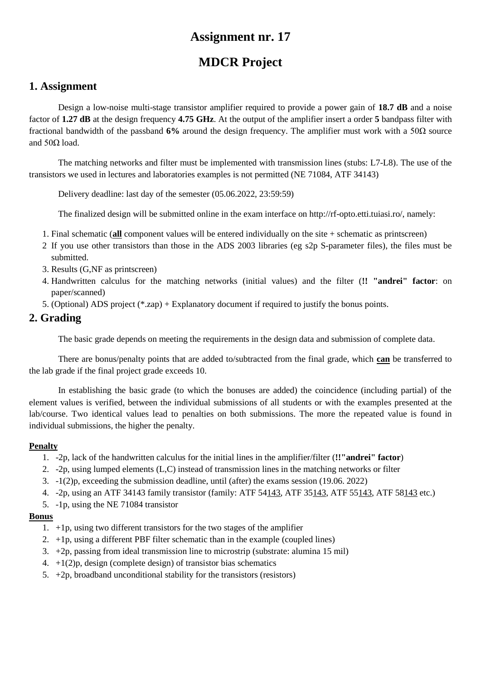# **MDCR Project**

## **1. Assignment**

Design a low-noise multi-stage transistor amplifier required to provide a power gain of **18.7 dB** and a noise factor of **1.27 dB** at the design frequency **4.75 GHz**. At the output of the amplifier insert a order **5** bandpass filter with fractional bandwidth of the passband **6%** around the design frequency. The amplifier must work with a 50Ω source and  $50Ω$  load.

The matching networks and filter must be implemented with transmission lines (stubs: L7-L8). The use of the transistors we used in lectures and laboratories examples is not permitted (NE 71084, ATF 34143)

Delivery deadline: last day of the semester (05.06.2022, 23:59:59)

The finalized design will be submitted online in the exam interface on http://rf-opto.etti.tuiasi.ro/, namely:

- 1. Final schematic (**all** component values will be entered individually on the site + schematic as printscreen)
- 2 If you use other transistors than those in the ADS 2003 libraries (eg s2p S-parameter files), the files must be submitted.
- 3. Results (G,NF as printscreen)
- 4. Handwritten calculus for the matching networks (initial values) and the filter (**!! "andrei" factor**: on paper/scanned)
- 5. (Optional) ADS project (\*.zap) + Explanatory document if required to justify the bonus points.

### **2. Grading**

The basic grade depends on meeting the requirements in the design data and submission of complete data.

There are bonus/penalty points that are added to/subtracted from the final grade, which **can** be transferred to the lab grade if the final project grade exceeds 10.

In establishing the basic grade (to which the bonuses are added) the coincidence (including partial) of the element values is verified, between the individual submissions of all students or with the examples presented at the lab/course. Two identical values lead to penalties on both submissions. The more the repeated value is found in individual submissions, the higher the penalty.

#### **Penalty**

- 1. -2p, lack of the handwritten calculus for the initial lines in the amplifier/filter (**!!"andrei" factor**)
- 2. -2p, using lumped elements (L,C) instead of transmission lines in the matching networks or filter
- 3. -1(2)p, exceeding the submission deadline, until (after) the exams session (19.06. 2022)
- 4. -2p, using an ATF 34143 family transistor (family: ATF 54143, ATF 35143, ATF 55143, ATF 58143 etc.)
- 5. -1p, using the NE 71084 transistor

- 1. +1p, using two different transistors for the two stages of the amplifier
- 2.  $+1p$ , using a different PBF filter schematic than in the example (coupled lines)
- 3. +2p, passing from ideal transmission line to microstrip (substrate: alumina 15 mil)
- 4.  $+1(2)p$ , design (complete design) of transistor bias schematics
- 5.  $+2p$ , broadband unconditional stability for the transistors (resistors)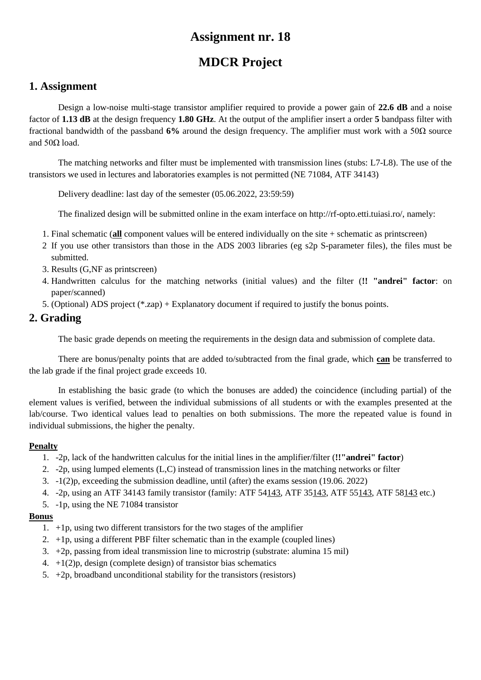# **MDCR Project**

## **1. Assignment**

Design a low-noise multi-stage transistor amplifier required to provide a power gain of **22.6 dB** and a noise factor of **1.13 dB** at the design frequency **1.80 GHz**. At the output of the amplifier insert a order **5** bandpass filter with fractional bandwidth of the passband **6%** around the design frequency. The amplifier must work with a 50Ω source and  $50Ω$  load.

The matching networks and filter must be implemented with transmission lines (stubs: L7-L8). The use of the transistors we used in lectures and laboratories examples is not permitted (NE 71084, ATF 34143)

Delivery deadline: last day of the semester (05.06.2022, 23:59:59)

The finalized design will be submitted online in the exam interface on http://rf-opto.etti.tuiasi.ro/, namely:

- 1. Final schematic (**all** component values will be entered individually on the site + schematic as printscreen)
- 2 If you use other transistors than those in the ADS 2003 libraries (eg s2p S-parameter files), the files must be submitted.
- 3. Results (G,NF as printscreen)
- 4. Handwritten calculus for the matching networks (initial values) and the filter (**!! "andrei" factor**: on paper/scanned)
- 5. (Optional) ADS project (\*.zap) + Explanatory document if required to justify the bonus points.

### **2. Grading**

The basic grade depends on meeting the requirements in the design data and submission of complete data.

There are bonus/penalty points that are added to/subtracted from the final grade, which **can** be transferred to the lab grade if the final project grade exceeds 10.

In establishing the basic grade (to which the bonuses are added) the coincidence (including partial) of the element values is verified, between the individual submissions of all students or with the examples presented at the lab/course. Two identical values lead to penalties on both submissions. The more the repeated value is found in individual submissions, the higher the penalty.

#### **Penalty**

- 1. -2p, lack of the handwritten calculus for the initial lines in the amplifier/filter (**!!"andrei" factor**)
- 2. -2p, using lumped elements (L,C) instead of transmission lines in the matching networks or filter
- 3. -1(2)p, exceeding the submission deadline, until (after) the exams session (19.06. 2022)
- 4. -2p, using an ATF 34143 family transistor (family: ATF 54143, ATF 35143, ATF 55143, ATF 58143 etc.)
- 5. -1p, using the NE 71084 transistor

- 1. +1p, using two different transistors for the two stages of the amplifier
- 2.  $+1p$ , using a different PBF filter schematic than in the example (coupled lines)
- 3. +2p, passing from ideal transmission line to microstrip (substrate: alumina 15 mil)
- 4.  $+1(2)p$ , design (complete design) of transistor bias schematics
- 5.  $+2p$ , broadband unconditional stability for the transistors (resistors)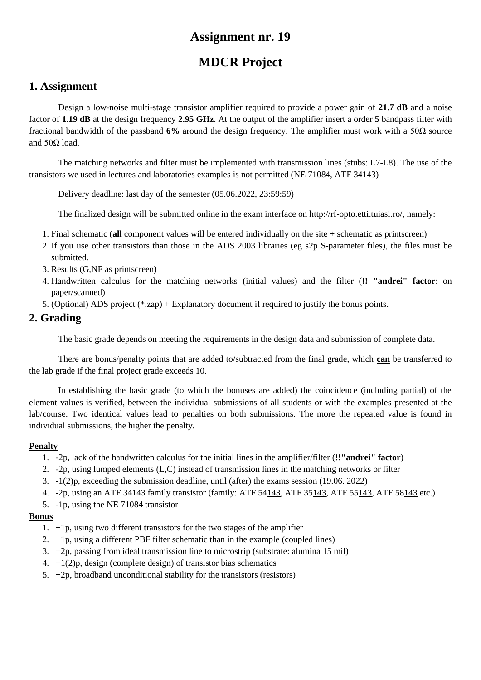# **MDCR Project**

## **1. Assignment**

Design a low-noise multi-stage transistor amplifier required to provide a power gain of **21.7 dB** and a noise factor of **1.19 dB** at the design frequency **2.95 GHz**. At the output of the amplifier insert a order **5** bandpass filter with fractional bandwidth of the passband **6%** around the design frequency. The amplifier must work with a 50Ω source and  $50Ω$  load.

The matching networks and filter must be implemented with transmission lines (stubs: L7-L8). The use of the transistors we used in lectures and laboratories examples is not permitted (NE 71084, ATF 34143)

Delivery deadline: last day of the semester (05.06.2022, 23:59:59)

The finalized design will be submitted online in the exam interface on http://rf-opto.etti.tuiasi.ro/, namely:

- 1. Final schematic (**all** component values will be entered individually on the site + schematic as printscreen)
- 2 If you use other transistors than those in the ADS 2003 libraries (eg s2p S-parameter files), the files must be submitted.
- 3. Results (G,NF as printscreen)
- 4. Handwritten calculus for the matching networks (initial values) and the filter (**!! "andrei" factor**: on paper/scanned)
- 5. (Optional) ADS project (\*.zap) + Explanatory document if required to justify the bonus points.

### **2. Grading**

The basic grade depends on meeting the requirements in the design data and submission of complete data.

There are bonus/penalty points that are added to/subtracted from the final grade, which **can** be transferred to the lab grade if the final project grade exceeds 10.

In establishing the basic grade (to which the bonuses are added) the coincidence (including partial) of the element values is verified, between the individual submissions of all students or with the examples presented at the lab/course. Two identical values lead to penalties on both submissions. The more the repeated value is found in individual submissions, the higher the penalty.

#### **Penalty**

- 1. -2p, lack of the handwritten calculus for the initial lines in the amplifier/filter (**!!"andrei" factor**)
- 2. -2p, using lumped elements (L,C) instead of transmission lines in the matching networks or filter
- 3. -1(2)p, exceeding the submission deadline, until (after) the exams session (19.06. 2022)
- 4. -2p, using an ATF 34143 family transistor (family: ATF 54143, ATF 35143, ATF 55143, ATF 58143 etc.)
- 5. -1p, using the NE 71084 transistor

- 1. +1p, using two different transistors for the two stages of the amplifier
- 2.  $+1p$ , using a different PBF filter schematic than in the example (coupled lines)
- 3. +2p, passing from ideal transmission line to microstrip (substrate: alumina 15 mil)
- 4.  $+1(2)p$ , design (complete design) of transistor bias schematics
- 5.  $+2p$ , broadband unconditional stability for the transistors (resistors)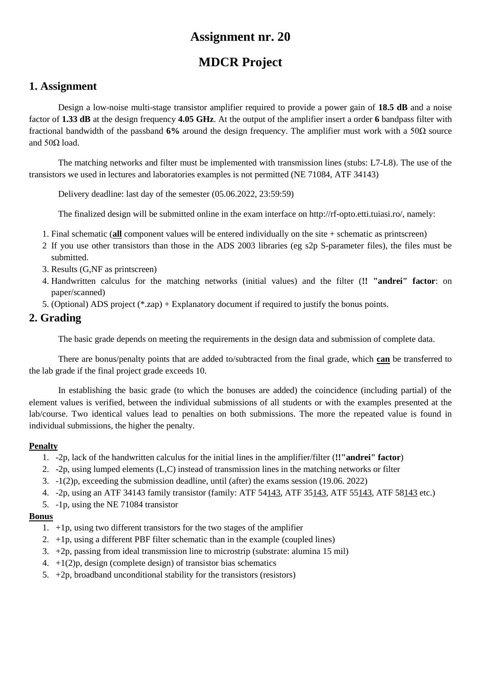# **MDCR Project**

## **1. Assignment**

Design a low-noise multi-stage transistor amplifier required to provide a power gain of **18.5 dB** and a noise factor of **1.33 dB** at the design frequency **4.05 GHz**. At the output of the amplifier insert a order **6** bandpass filter with fractional bandwidth of the passband **6%** around the design frequency. The amplifier must work with a 50Ω source and  $50Ω$  load.

The matching networks and filter must be implemented with transmission lines (stubs: L7-L8). The use of the transistors we used in lectures and laboratories examples is not permitted (NE 71084, ATF 34143)

Delivery deadline: last day of the semester (05.06.2022, 23:59:59)

The finalized design will be submitted online in the exam interface on http://rf-opto.etti.tuiasi.ro/, namely:

- 1. Final schematic (**all** component values will be entered individually on the site + schematic as printscreen)
- 2 If you use other transistors than those in the ADS 2003 libraries (eg s2p S-parameter files), the files must be submitted.
- 3. Results (G,NF as printscreen)
- 4. Handwritten calculus for the matching networks (initial values) and the filter (**!! "andrei" factor**: on paper/scanned)
- 5. (Optional) ADS project (\*.zap) + Explanatory document if required to justify the bonus points.

### **2. Grading**

The basic grade depends on meeting the requirements in the design data and submission of complete data.

There are bonus/penalty points that are added to/subtracted from the final grade, which **can** be transferred to the lab grade if the final project grade exceeds 10.

In establishing the basic grade (to which the bonuses are added) the coincidence (including partial) of the element values is verified, between the individual submissions of all students or with the examples presented at the lab/course. Two identical values lead to penalties on both submissions. The more the repeated value is found in individual submissions, the higher the penalty.

#### **Penalty**

- 1. -2p, lack of the handwritten calculus for the initial lines in the amplifier/filter (**!!"andrei" factor**)
- 2. -2p, using lumped elements (L,C) instead of transmission lines in the matching networks or filter
- 3. -1(2)p, exceeding the submission deadline, until (after) the exams session (19.06. 2022)
- 4. -2p, using an ATF 34143 family transistor (family: ATF 54143, ATF 35143, ATF 55143, ATF 58143 etc.)
- 5. -1p, using the NE 71084 transistor

- 1. +1p, using two different transistors for the two stages of the amplifier
- 2.  $+1p$ , using a different PBF filter schematic than in the example (coupled lines)
- 3. +2p, passing from ideal transmission line to microstrip (substrate: alumina 15 mil)
- 4.  $+1(2)p$ , design (complete design) of transistor bias schematics
- 5.  $+2p$ , broadband unconditional stability for the transistors (resistors)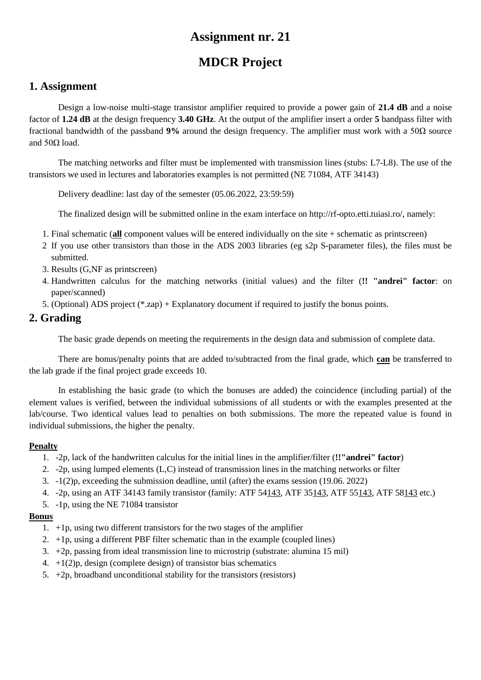# **MDCR Project**

## **1. Assignment**

Design a low-noise multi-stage transistor amplifier required to provide a power gain of **21.4 dB** and a noise factor of **1.24 dB** at the design frequency **3.40 GHz**. At the output of the amplifier insert a order **5** bandpass filter with fractional bandwidth of the passband **9%** around the design frequency. The amplifier must work with a 50Ω source and  $50Ω$  load.

The matching networks and filter must be implemented with transmission lines (stubs: L7-L8). The use of the transistors we used in lectures and laboratories examples is not permitted (NE 71084, ATF 34143)

Delivery deadline: last day of the semester (05.06.2022, 23:59:59)

The finalized design will be submitted online in the exam interface on http://rf-opto.etti.tuiasi.ro/, namely:

- 1. Final schematic (**all** component values will be entered individually on the site + schematic as printscreen)
- 2 If you use other transistors than those in the ADS 2003 libraries (eg s2p S-parameter files), the files must be submitted.
- 3. Results (G,NF as printscreen)
- 4. Handwritten calculus for the matching networks (initial values) and the filter (**!! "andrei" factor**: on paper/scanned)
- 5. (Optional) ADS project (\*.zap) + Explanatory document if required to justify the bonus points.

### **2. Grading**

The basic grade depends on meeting the requirements in the design data and submission of complete data.

There are bonus/penalty points that are added to/subtracted from the final grade, which **can** be transferred to the lab grade if the final project grade exceeds 10.

In establishing the basic grade (to which the bonuses are added) the coincidence (including partial) of the element values is verified, between the individual submissions of all students or with the examples presented at the lab/course. Two identical values lead to penalties on both submissions. The more the repeated value is found in individual submissions, the higher the penalty.

#### **Penalty**

- 1. -2p, lack of the handwritten calculus for the initial lines in the amplifier/filter (**!!"andrei" factor**)
- 2. -2p, using lumped elements (L,C) instead of transmission lines in the matching networks or filter
- 3. -1(2)p, exceeding the submission deadline, until (after) the exams session (19.06. 2022)
- 4. -2p, using an ATF 34143 family transistor (family: ATF 54143, ATF 35143, ATF 55143, ATF 58143 etc.)
- 5. -1p, using the NE 71084 transistor

- 1. +1p, using two different transistors for the two stages of the amplifier
- 2.  $+1p$ , using a different PBF filter schematic than in the example (coupled lines)
- 3. +2p, passing from ideal transmission line to microstrip (substrate: alumina 15 mil)
- 4.  $+1(2)p$ , design (complete design) of transistor bias schematics
- 5.  $+2p$ , broadband unconditional stability for the transistors (resistors)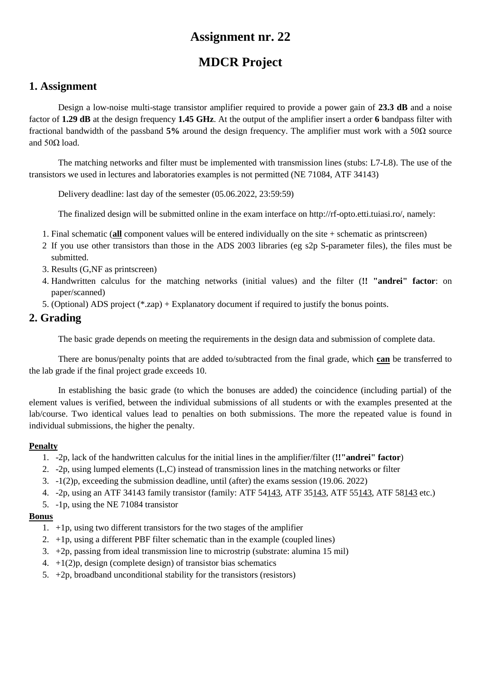# **MDCR Project**

## **1. Assignment**

Design a low-noise multi-stage transistor amplifier required to provide a power gain of **23.3 dB** and a noise factor of **1.29 dB** at the design frequency **1.45 GHz**. At the output of the amplifier insert a order **6** bandpass filter with fractional bandwidth of the passband **5%** around the design frequency. The amplifier must work with a 50Ω source and  $50Ω$  load.

The matching networks and filter must be implemented with transmission lines (stubs: L7-L8). The use of the transistors we used in lectures and laboratories examples is not permitted (NE 71084, ATF 34143)

Delivery deadline: last day of the semester (05.06.2022, 23:59:59)

The finalized design will be submitted online in the exam interface on http://rf-opto.etti.tuiasi.ro/, namely:

- 1. Final schematic (**all** component values will be entered individually on the site + schematic as printscreen)
- 2 If you use other transistors than those in the ADS 2003 libraries (eg s2p S-parameter files), the files must be submitted.
- 3. Results (G,NF as printscreen)
- 4. Handwritten calculus for the matching networks (initial values) and the filter (**!! "andrei" factor**: on paper/scanned)
- 5. (Optional) ADS project (\*.zap) + Explanatory document if required to justify the bonus points.

### **2. Grading**

The basic grade depends on meeting the requirements in the design data and submission of complete data.

There are bonus/penalty points that are added to/subtracted from the final grade, which **can** be transferred to the lab grade if the final project grade exceeds 10.

In establishing the basic grade (to which the bonuses are added) the coincidence (including partial) of the element values is verified, between the individual submissions of all students or with the examples presented at the lab/course. Two identical values lead to penalties on both submissions. The more the repeated value is found in individual submissions, the higher the penalty.

#### **Penalty**

- 1. -2p, lack of the handwritten calculus for the initial lines in the amplifier/filter (**!!"andrei" factor**)
- 2. -2p, using lumped elements (L,C) instead of transmission lines in the matching networks or filter
- 3. -1(2)p, exceeding the submission deadline, until (after) the exams session (19.06. 2022)
- 4. -2p, using an ATF 34143 family transistor (family: ATF 54143, ATF 35143, ATF 55143, ATF 58143 etc.)
- 5. -1p, using the NE 71084 transistor

- 1. +1p, using two different transistors for the two stages of the amplifier
- 2.  $+1p$ , using a different PBF filter schematic than in the example (coupled lines)
- 3. +2p, passing from ideal transmission line to microstrip (substrate: alumina 15 mil)
- 4.  $+1(2)p$ , design (complete design) of transistor bias schematics
- 5.  $+2p$ , broadband unconditional stability for the transistors (resistors)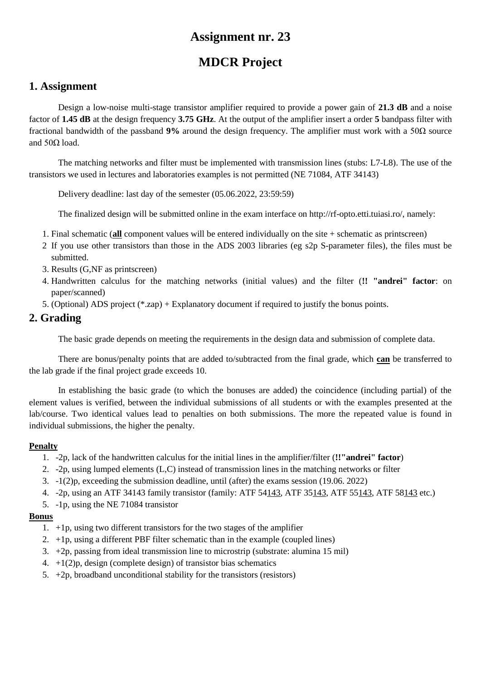# **MDCR Project**

## **1. Assignment**

Design a low-noise multi-stage transistor amplifier required to provide a power gain of **21.3 dB** and a noise factor of **1.45 dB** at the design frequency **3.75 GHz**. At the output of the amplifier insert a order **5** bandpass filter with fractional bandwidth of the passband **9%** around the design frequency. The amplifier must work with a 50Ω source and  $50Ω$  load.

The matching networks and filter must be implemented with transmission lines (stubs: L7-L8). The use of the transistors we used in lectures and laboratories examples is not permitted (NE 71084, ATF 34143)

Delivery deadline: last day of the semester (05.06.2022, 23:59:59)

The finalized design will be submitted online in the exam interface on http://rf-opto.etti.tuiasi.ro/, namely:

- 1. Final schematic (**all** component values will be entered individually on the site + schematic as printscreen)
- 2 If you use other transistors than those in the ADS 2003 libraries (eg s2p S-parameter files), the files must be submitted.
- 3. Results (G,NF as printscreen)
- 4. Handwritten calculus for the matching networks (initial values) and the filter (**!! "andrei" factor**: on paper/scanned)
- 5. (Optional) ADS project (\*.zap) + Explanatory document if required to justify the bonus points.

### **2. Grading**

The basic grade depends on meeting the requirements in the design data and submission of complete data.

There are bonus/penalty points that are added to/subtracted from the final grade, which **can** be transferred to the lab grade if the final project grade exceeds 10.

In establishing the basic grade (to which the bonuses are added) the coincidence (including partial) of the element values is verified, between the individual submissions of all students or with the examples presented at the lab/course. Two identical values lead to penalties on both submissions. The more the repeated value is found in individual submissions, the higher the penalty.

#### **Penalty**

- 1. -2p, lack of the handwritten calculus for the initial lines in the amplifier/filter (**!!"andrei" factor**)
- 2. -2p, using lumped elements (L,C) instead of transmission lines in the matching networks or filter
- 3. -1(2)p, exceeding the submission deadline, until (after) the exams session (19.06. 2022)
- 4. -2p, using an ATF 34143 family transistor (family: ATF 54143, ATF 35143, ATF 55143, ATF 58143 etc.)
- 5. -1p, using the NE 71084 transistor

- 1. +1p, using two different transistors for the two stages of the amplifier
- 2.  $+1p$ , using a different PBF filter schematic than in the example (coupled lines)
- 3. +2p, passing from ideal transmission line to microstrip (substrate: alumina 15 mil)
- 4.  $+1(2)p$ , design (complete design) of transistor bias schematics
- 5.  $+2p$ , broadband unconditional stability for the transistors (resistors)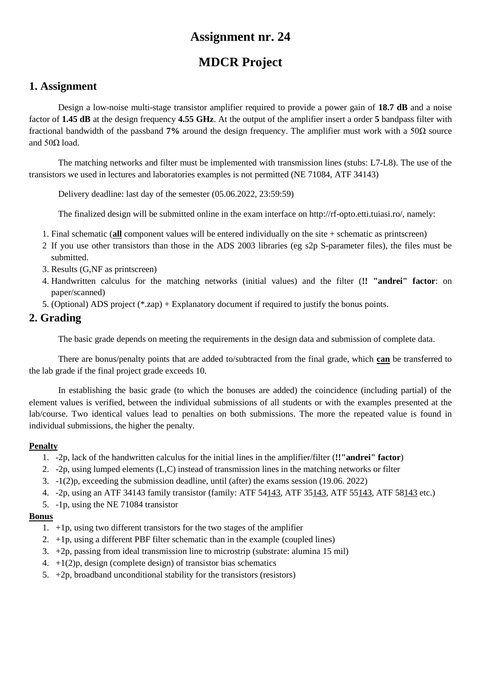# **MDCR Project**

## **1. Assignment**

Design a low-noise multi-stage transistor amplifier required to provide a power gain of **18.7 dB** and a noise factor of **1.45 dB** at the design frequency **4.55 GHz**. At the output of the amplifier insert a order **5** bandpass filter with fractional bandwidth of the passband **7%** around the design frequency. The amplifier must work with a 50Ω source and  $50Ω$  load.

The matching networks and filter must be implemented with transmission lines (stubs: L7-L8). The use of the transistors we used in lectures and laboratories examples is not permitted (NE 71084, ATF 34143)

Delivery deadline: last day of the semester (05.06.2022, 23:59:59)

The finalized design will be submitted online in the exam interface on http://rf-opto.etti.tuiasi.ro/, namely:

- 1. Final schematic (**all** component values will be entered individually on the site + schematic as printscreen)
- 2 If you use other transistors than those in the ADS 2003 libraries (eg s2p S-parameter files), the files must be submitted.
- 3. Results (G,NF as printscreen)
- 4. Handwritten calculus for the matching networks (initial values) and the filter (**!! "andrei" factor**: on paper/scanned)
- 5. (Optional) ADS project (\*.zap) + Explanatory document if required to justify the bonus points.

### **2. Grading**

The basic grade depends on meeting the requirements in the design data and submission of complete data.

There are bonus/penalty points that are added to/subtracted from the final grade, which **can** be transferred to the lab grade if the final project grade exceeds 10.

In establishing the basic grade (to which the bonuses are added) the coincidence (including partial) of the element values is verified, between the individual submissions of all students or with the examples presented at the lab/course. Two identical values lead to penalties on both submissions. The more the repeated value is found in individual submissions, the higher the penalty.

#### **Penalty**

- 1. -2p, lack of the handwritten calculus for the initial lines in the amplifier/filter (**!!"andrei" factor**)
- 2. -2p, using lumped elements (L,C) instead of transmission lines in the matching networks or filter
- 3. -1(2)p, exceeding the submission deadline, until (after) the exams session (19.06. 2022)
- 4. -2p, using an ATF 34143 family transistor (family: ATF 54143, ATF 35143, ATF 55143, ATF 58143 etc.)
- 5. -1p, using the NE 71084 transistor

- 1. +1p, using two different transistors for the two stages of the amplifier
- 2.  $+1p$ , using a different PBF filter schematic than in the example (coupled lines)
- 3. +2p, passing from ideal transmission line to microstrip (substrate: alumina 15 mil)
- 4.  $+1(2)p$ , design (complete design) of transistor bias schematics
- 5.  $+2p$ , broadband unconditional stability for the transistors (resistors)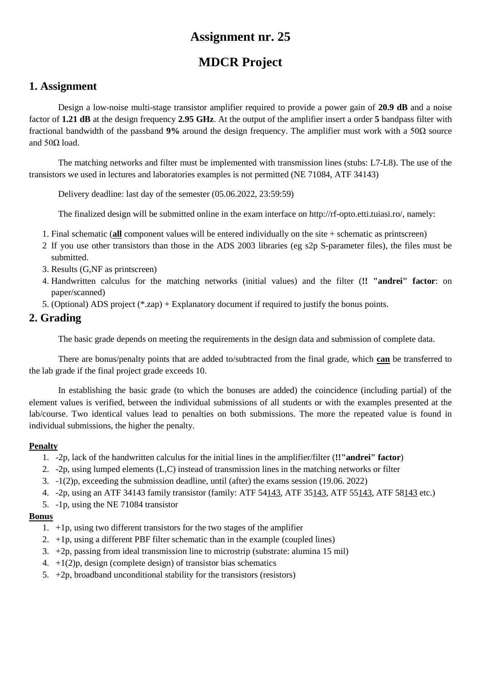# **MDCR Project**

### **1. Assignment**

Design a low-noise multi-stage transistor amplifier required to provide a power gain of **20.9 dB** and a noise factor of **1.21 dB** at the design frequency **2.95 GHz**. At the output of the amplifier insert a order **5** bandpass filter with fractional bandwidth of the passband **9%** around the design frequency. The amplifier must work with a 50Ω source and  $50Ω$  load.

The matching networks and filter must be implemented with transmission lines (stubs: L7-L8). The use of the transistors we used in lectures and laboratories examples is not permitted (NE 71084, ATF 34143)

Delivery deadline: last day of the semester (05.06.2022, 23:59:59)

The finalized design will be submitted online in the exam interface on http://rf-opto.etti.tuiasi.ro/, namely:

- 1. Final schematic (**all** component values will be entered individually on the site + schematic as printscreen)
- 2 If you use other transistors than those in the ADS 2003 libraries (eg s2p S-parameter files), the files must be submitted.
- 3. Results (G,NF as printscreen)
- 4. Handwritten calculus for the matching networks (initial values) and the filter (**!! "andrei" factor**: on paper/scanned)
- 5. (Optional) ADS project (\*.zap) + Explanatory document if required to justify the bonus points.

### **2. Grading**

The basic grade depends on meeting the requirements in the design data and submission of complete data.

There are bonus/penalty points that are added to/subtracted from the final grade, which **can** be transferred to the lab grade if the final project grade exceeds 10.

In establishing the basic grade (to which the bonuses are added) the coincidence (including partial) of the element values is verified, between the individual submissions of all students or with the examples presented at the lab/course. Two identical values lead to penalties on both submissions. The more the repeated value is found in individual submissions, the higher the penalty.

#### **Penalty**

- 1. -2p, lack of the handwritten calculus for the initial lines in the amplifier/filter (**!!"andrei" factor**)
- 2. -2p, using lumped elements (L,C) instead of transmission lines in the matching networks or filter
- 3. -1(2)p, exceeding the submission deadline, until (after) the exams session (19.06. 2022)
- 4. -2p, using an ATF 34143 family transistor (family: ATF 54143, ATF 35143, ATF 55143, ATF 58143 etc.)
- 5. -1p, using the NE 71084 transistor

- 1. +1p, using two different transistors for the two stages of the amplifier
- 2.  $+1p$ , using a different PBF filter schematic than in the example (coupled lines)
- 3. +2p, passing from ideal transmission line to microstrip (substrate: alumina 15 mil)
- 4.  $+1(2)p$ , design (complete design) of transistor bias schematics
- 5.  $+2p$ , broadband unconditional stability for the transistors (resistors)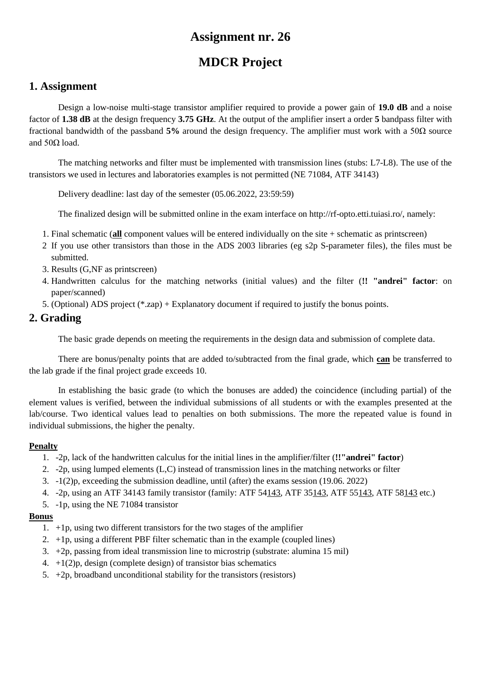# **MDCR Project**

## **1. Assignment**

Design a low-noise multi-stage transistor amplifier required to provide a power gain of **19.0 dB** and a noise factor of **1.38 dB** at the design frequency **3.75 GHz**. At the output of the amplifier insert a order **5** bandpass filter with fractional bandwidth of the passband **5%** around the design frequency. The amplifier must work with a 50Ω source and  $50Ω$  load.

The matching networks and filter must be implemented with transmission lines (stubs: L7-L8). The use of the transistors we used in lectures and laboratories examples is not permitted (NE 71084, ATF 34143)

Delivery deadline: last day of the semester (05.06.2022, 23:59:59)

The finalized design will be submitted online in the exam interface on http://rf-opto.etti.tuiasi.ro/, namely:

- 1. Final schematic (**all** component values will be entered individually on the site + schematic as printscreen)
- 2 If you use other transistors than those in the ADS 2003 libraries (eg s2p S-parameter files), the files must be submitted.
- 3. Results (G,NF as printscreen)
- 4. Handwritten calculus for the matching networks (initial values) and the filter (**!! "andrei" factor**: on paper/scanned)
- 5. (Optional) ADS project (\*.zap) + Explanatory document if required to justify the bonus points.

### **2. Grading**

The basic grade depends on meeting the requirements in the design data and submission of complete data.

There are bonus/penalty points that are added to/subtracted from the final grade, which **can** be transferred to the lab grade if the final project grade exceeds 10.

In establishing the basic grade (to which the bonuses are added) the coincidence (including partial) of the element values is verified, between the individual submissions of all students or with the examples presented at the lab/course. Two identical values lead to penalties on both submissions. The more the repeated value is found in individual submissions, the higher the penalty.

#### **Penalty**

- 1. -2p, lack of the handwritten calculus for the initial lines in the amplifier/filter (**!!"andrei" factor**)
- 2. -2p, using lumped elements (L,C) instead of transmission lines in the matching networks or filter
- 3. -1(2)p, exceeding the submission deadline, until (after) the exams session (19.06. 2022)
- 4. -2p, using an ATF 34143 family transistor (family: ATF 54143, ATF 35143, ATF 55143, ATF 58143 etc.)
- 5. -1p, using the NE 71084 transistor

- 1. +1p, using two different transistors for the two stages of the amplifier
- 2.  $+1p$ , using a different PBF filter schematic than in the example (coupled lines)
- 3. +2p, passing from ideal transmission line to microstrip (substrate: alumina 15 mil)
- 4.  $+1(2)p$ , design (complete design) of transistor bias schematics
- 5.  $+2p$ , broadband unconditional stability for the transistors (resistors)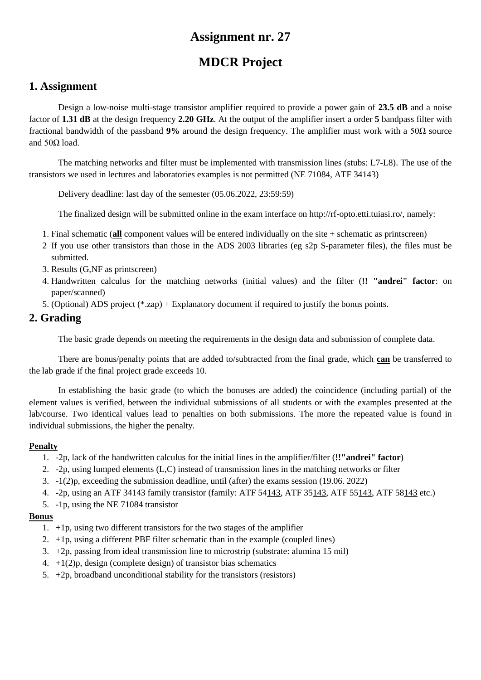# **MDCR Project**

## **1. Assignment**

Design a low-noise multi-stage transistor amplifier required to provide a power gain of **23.5 dB** and a noise factor of **1.31 dB** at the design frequency **2.20 GHz**. At the output of the amplifier insert a order **5** bandpass filter with fractional bandwidth of the passband **9%** around the design frequency. The amplifier must work with a 50Ω source and  $50Ω$  load.

The matching networks and filter must be implemented with transmission lines (stubs: L7-L8). The use of the transistors we used in lectures and laboratories examples is not permitted (NE 71084, ATF 34143)

Delivery deadline: last day of the semester (05.06.2022, 23:59:59)

The finalized design will be submitted online in the exam interface on http://rf-opto.etti.tuiasi.ro/, namely:

- 1. Final schematic (**all** component values will be entered individually on the site + schematic as printscreen)
- 2 If you use other transistors than those in the ADS 2003 libraries (eg s2p S-parameter files), the files must be submitted.
- 3. Results (G,NF as printscreen)
- 4. Handwritten calculus for the matching networks (initial values) and the filter (**!! "andrei" factor**: on paper/scanned)
- 5. (Optional) ADS project (\*.zap) + Explanatory document if required to justify the bonus points.

### **2. Grading**

The basic grade depends on meeting the requirements in the design data and submission of complete data.

There are bonus/penalty points that are added to/subtracted from the final grade, which **can** be transferred to the lab grade if the final project grade exceeds 10.

In establishing the basic grade (to which the bonuses are added) the coincidence (including partial) of the element values is verified, between the individual submissions of all students or with the examples presented at the lab/course. Two identical values lead to penalties on both submissions. The more the repeated value is found in individual submissions, the higher the penalty.

#### **Penalty**

- 1. -2p, lack of the handwritten calculus for the initial lines in the amplifier/filter (**!!"andrei" factor**)
- 2. -2p, using lumped elements (L,C) instead of transmission lines in the matching networks or filter
- 3. -1(2)p, exceeding the submission deadline, until (after) the exams session (19.06. 2022)
- 4. -2p, using an ATF 34143 family transistor (family: ATF 54143, ATF 35143, ATF 55143, ATF 58143 etc.)
- 5. -1p, using the NE 71084 transistor

- 1. +1p, using two different transistors for the two stages of the amplifier
- 2.  $+1p$ , using a different PBF filter schematic than in the example (coupled lines)
- 3. +2p, passing from ideal transmission line to microstrip (substrate: alumina 15 mil)
- 4.  $+1(2)p$ , design (complete design) of transistor bias schematics
- 5.  $+2p$ , broadband unconditional stability for the transistors (resistors)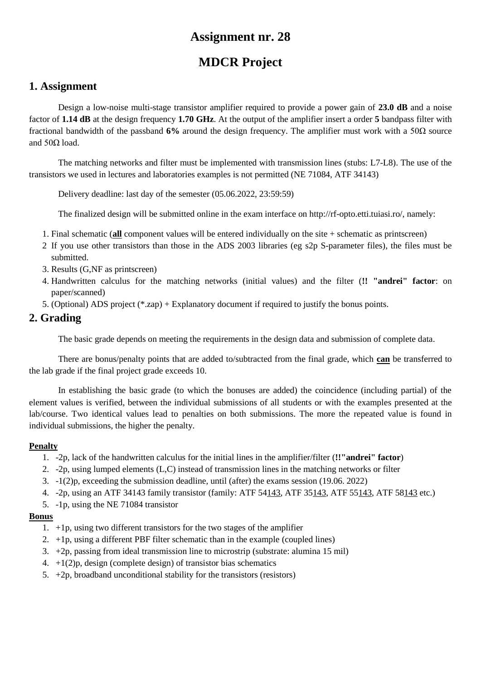# **MDCR Project**

## **1. Assignment**

Design a low-noise multi-stage transistor amplifier required to provide a power gain of **23.0 dB** and a noise factor of **1.14 dB** at the design frequency **1.70 GHz**. At the output of the amplifier insert a order **5** bandpass filter with fractional bandwidth of the passband **6%** around the design frequency. The amplifier must work with a 50Ω source and  $50Ω$  load.

The matching networks and filter must be implemented with transmission lines (stubs: L7-L8). The use of the transistors we used in lectures and laboratories examples is not permitted (NE 71084, ATF 34143)

Delivery deadline: last day of the semester (05.06.2022, 23:59:59)

The finalized design will be submitted online in the exam interface on http://rf-opto.etti.tuiasi.ro/, namely:

- 1. Final schematic (**all** component values will be entered individually on the site + schematic as printscreen)
- 2 If you use other transistors than those in the ADS 2003 libraries (eg s2p S-parameter files), the files must be submitted.
- 3. Results (G,NF as printscreen)
- 4. Handwritten calculus for the matching networks (initial values) and the filter (**!! "andrei" factor**: on paper/scanned)
- 5. (Optional) ADS project (\*.zap) + Explanatory document if required to justify the bonus points.

### **2. Grading**

The basic grade depends on meeting the requirements in the design data and submission of complete data.

There are bonus/penalty points that are added to/subtracted from the final grade, which **can** be transferred to the lab grade if the final project grade exceeds 10.

In establishing the basic grade (to which the bonuses are added) the coincidence (including partial) of the element values is verified, between the individual submissions of all students or with the examples presented at the lab/course. Two identical values lead to penalties on both submissions. The more the repeated value is found in individual submissions, the higher the penalty.

#### **Penalty**

- 1. -2p, lack of the handwritten calculus for the initial lines in the amplifier/filter (**!!"andrei" factor**)
- 2. -2p, using lumped elements (L,C) instead of transmission lines in the matching networks or filter
- 3. -1(2)p, exceeding the submission deadline, until (after) the exams session (19.06. 2022)
- 4. -2p, using an ATF 34143 family transistor (family: ATF 54143, ATF 35143, ATF 55143, ATF 58143 etc.)
- 5. -1p, using the NE 71084 transistor

- 1. +1p, using two different transistors for the two stages of the amplifier
- 2.  $+1p$ , using a different PBF filter schematic than in the example (coupled lines)
- 3. +2p, passing from ideal transmission line to microstrip (substrate: alumina 15 mil)
- 4.  $+1(2)p$ , design (complete design) of transistor bias schematics
- 5.  $+2p$ , broadband unconditional stability for the transistors (resistors)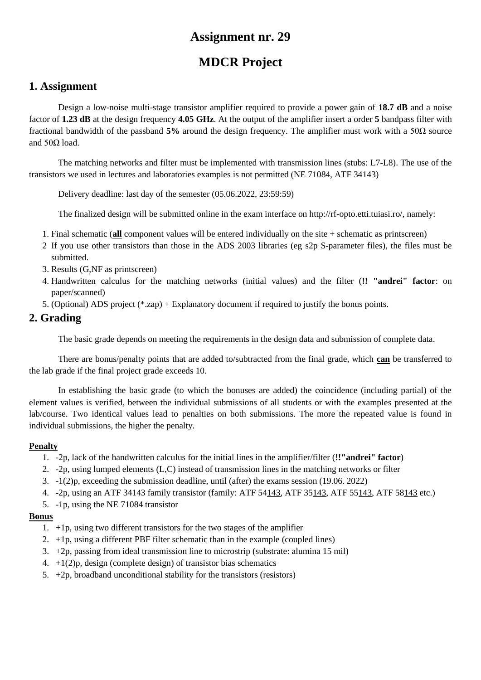# **MDCR Project**

## **1. Assignment**

Design a low-noise multi-stage transistor amplifier required to provide a power gain of **18.7 dB** and a noise factor of **1.23 dB** at the design frequency **4.05 GHz**. At the output of the amplifier insert a order **5** bandpass filter with fractional bandwidth of the passband **5%** around the design frequency. The amplifier must work with a 50Ω source and  $50Ω$  load.

The matching networks and filter must be implemented with transmission lines (stubs: L7-L8). The use of the transistors we used in lectures and laboratories examples is not permitted (NE 71084, ATF 34143)

Delivery deadline: last day of the semester (05.06.2022, 23:59:59)

The finalized design will be submitted online in the exam interface on http://rf-opto.etti.tuiasi.ro/, namely:

- 1. Final schematic (**all** component values will be entered individually on the site + schematic as printscreen)
- 2 If you use other transistors than those in the ADS 2003 libraries (eg s2p S-parameter files), the files must be submitted.
- 3. Results (G,NF as printscreen)
- 4. Handwritten calculus for the matching networks (initial values) and the filter (**!! "andrei" factor**: on paper/scanned)
- 5. (Optional) ADS project (\*.zap) + Explanatory document if required to justify the bonus points.

### **2. Grading**

The basic grade depends on meeting the requirements in the design data and submission of complete data.

There are bonus/penalty points that are added to/subtracted from the final grade, which **can** be transferred to the lab grade if the final project grade exceeds 10.

In establishing the basic grade (to which the bonuses are added) the coincidence (including partial) of the element values is verified, between the individual submissions of all students or with the examples presented at the lab/course. Two identical values lead to penalties on both submissions. The more the repeated value is found in individual submissions, the higher the penalty.

#### **Penalty**

- 1. -2p, lack of the handwritten calculus for the initial lines in the amplifier/filter (**!!"andrei" factor**)
- 2. -2p, using lumped elements (L,C) instead of transmission lines in the matching networks or filter
- 3. -1(2)p, exceeding the submission deadline, until (after) the exams session (19.06. 2022)
- 4. -2p, using an ATF 34143 family transistor (family: ATF 54143, ATF 35143, ATF 55143, ATF 58143 etc.)
- 5. -1p, using the NE 71084 transistor

- 1. +1p, using two different transistors for the two stages of the amplifier
- 2.  $+1p$ , using a different PBF filter schematic than in the example (coupled lines)
- 3. +2p, passing from ideal transmission line to microstrip (substrate: alumina 15 mil)
- 4.  $+1(2)p$ , design (complete design) of transistor bias schematics
- 5.  $+2p$ , broadband unconditional stability for the transistors (resistors)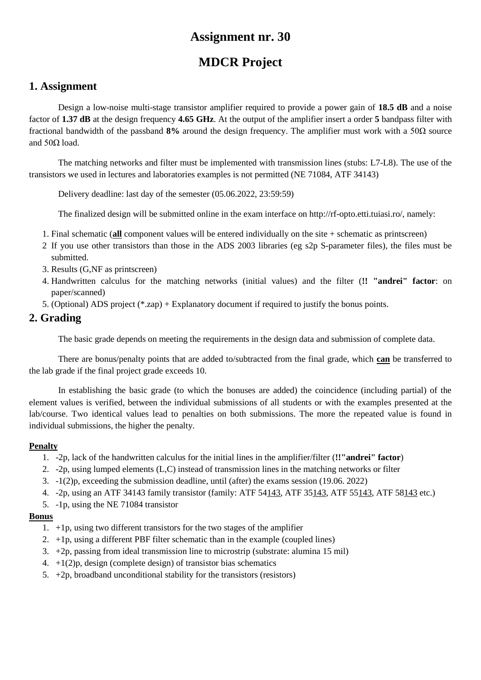# **MDCR Project**

## **1. Assignment**

Design a low-noise multi-stage transistor amplifier required to provide a power gain of **18.5 dB** and a noise factor of **1.37 dB** at the design frequency **4.65 GHz**. At the output of the amplifier insert a order **5** bandpass filter with fractional bandwidth of the passband **8%** around the design frequency. The amplifier must work with a 50Ω source and  $50Ω$  load.

The matching networks and filter must be implemented with transmission lines (stubs: L7-L8). The use of the transistors we used in lectures and laboratories examples is not permitted (NE 71084, ATF 34143)

Delivery deadline: last day of the semester (05.06.2022, 23:59:59)

The finalized design will be submitted online in the exam interface on http://rf-opto.etti.tuiasi.ro/, namely:

- 1. Final schematic (**all** component values will be entered individually on the site + schematic as printscreen)
- 2 If you use other transistors than those in the ADS 2003 libraries (eg s2p S-parameter files), the files must be submitted.
- 3. Results (G,NF as printscreen)
- 4. Handwritten calculus for the matching networks (initial values) and the filter (**!! "andrei" factor**: on paper/scanned)
- 5. (Optional) ADS project (\*.zap) + Explanatory document if required to justify the bonus points.

### **2. Grading**

The basic grade depends on meeting the requirements in the design data and submission of complete data.

There are bonus/penalty points that are added to/subtracted from the final grade, which **can** be transferred to the lab grade if the final project grade exceeds 10.

In establishing the basic grade (to which the bonuses are added) the coincidence (including partial) of the element values is verified, between the individual submissions of all students or with the examples presented at the lab/course. Two identical values lead to penalties on both submissions. The more the repeated value is found in individual submissions, the higher the penalty.

#### **Penalty**

- 1. -2p, lack of the handwritten calculus for the initial lines in the amplifier/filter (**!!"andrei" factor**)
- 2. -2p, using lumped elements (L,C) instead of transmission lines in the matching networks or filter
- 3. -1(2)p, exceeding the submission deadline, until (after) the exams session (19.06. 2022)
- 4. -2p, using an ATF 34143 family transistor (family: ATF 54143, ATF 35143, ATF 55143, ATF 58143 etc.)
- 5. -1p, using the NE 71084 transistor

- 1. +1p, using two different transistors for the two stages of the amplifier
- 2.  $+1p$ , using a different PBF filter schematic than in the example (coupled lines)
- 3. +2p, passing from ideal transmission line to microstrip (substrate: alumina 15 mil)
- 4.  $+1(2)p$ , design (complete design) of transistor bias schematics
- 5.  $+2p$ , broadband unconditional stability for the transistors (resistors)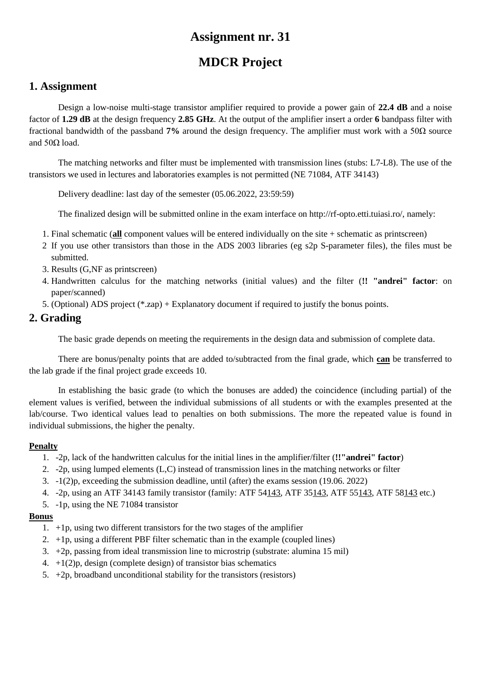# **MDCR Project**

## **1. Assignment**

Design a low-noise multi-stage transistor amplifier required to provide a power gain of **22.4 dB** and a noise factor of **1.29 dB** at the design frequency **2.85 GHz**. At the output of the amplifier insert a order **6** bandpass filter with fractional bandwidth of the passband **7%** around the design frequency. The amplifier must work with a 50Ω source and  $50Ω$  load.

The matching networks and filter must be implemented with transmission lines (stubs: L7-L8). The use of the transistors we used in lectures and laboratories examples is not permitted (NE 71084, ATF 34143)

Delivery deadline: last day of the semester (05.06.2022, 23:59:59)

The finalized design will be submitted online in the exam interface on http://rf-opto.etti.tuiasi.ro/, namely:

- 1. Final schematic (**all** component values will be entered individually on the site + schematic as printscreen)
- 2 If you use other transistors than those in the ADS 2003 libraries (eg s2p S-parameter files), the files must be submitted.
- 3. Results (G,NF as printscreen)
- 4. Handwritten calculus for the matching networks (initial values) and the filter (**!! "andrei" factor**: on paper/scanned)
- 5. (Optional) ADS project (\*.zap) + Explanatory document if required to justify the bonus points.

## **2. Grading**

The basic grade depends on meeting the requirements in the design data and submission of complete data.

There are bonus/penalty points that are added to/subtracted from the final grade, which **can** be transferred to the lab grade if the final project grade exceeds 10.

In establishing the basic grade (to which the bonuses are added) the coincidence (including partial) of the element values is verified, between the individual submissions of all students or with the examples presented at the lab/course. Two identical values lead to penalties on both submissions. The more the repeated value is found in individual submissions, the higher the penalty.

#### **Penalty**

- 1. -2p, lack of the handwritten calculus for the initial lines in the amplifier/filter (**!!"andrei" factor**)
- 2. -2p, using lumped elements (L,C) instead of transmission lines in the matching networks or filter
- 3. -1(2)p, exceeding the submission deadline, until (after) the exams session (19.06. 2022)
- 4. -2p, using an ATF 34143 family transistor (family: ATF 54143, ATF 35143, ATF 55143, ATF 58143 etc.)
- 5. -1p, using the NE 71084 transistor

- 1. +1p, using two different transistors for the two stages of the amplifier
- 2.  $+1p$ , using a different PBF filter schematic than in the example (coupled lines)
- 3. +2p, passing from ideal transmission line to microstrip (substrate: alumina 15 mil)
- 4.  $+1(2)p$ , design (complete design) of transistor bias schematics
- 5.  $+2p$ , broadband unconditional stability for the transistors (resistors)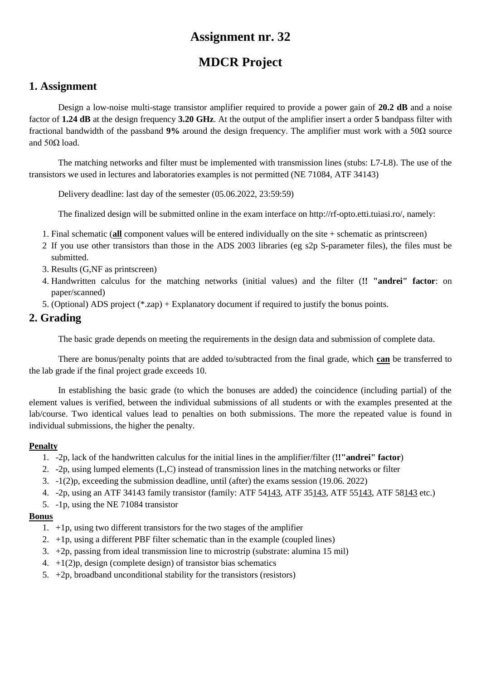# **MDCR Project**

## **1. Assignment**

Design a low-noise multi-stage transistor amplifier required to provide a power gain of **20.2 dB** and a noise factor of **1.24 dB** at the design frequency **3.20 GHz**. At the output of the amplifier insert a order **5** bandpass filter with fractional bandwidth of the passband **9%** around the design frequency. The amplifier must work with a 50Ω source and  $50Ω$  load.

The matching networks and filter must be implemented with transmission lines (stubs: L7-L8). The use of the transistors we used in lectures and laboratories examples is not permitted (NE 71084, ATF 34143)

Delivery deadline: last day of the semester (05.06.2022, 23:59:59)

The finalized design will be submitted online in the exam interface on http://rf-opto.etti.tuiasi.ro/, namely:

- 1. Final schematic (**all** component values will be entered individually on the site + schematic as printscreen)
- 2 If you use other transistors than those in the ADS 2003 libraries (eg s2p S-parameter files), the files must be submitted.
- 3. Results (G,NF as printscreen)
- 4. Handwritten calculus for the matching networks (initial values) and the filter (**!! "andrei" factor**: on paper/scanned)
- 5. (Optional) ADS project (\*.zap) + Explanatory document if required to justify the bonus points.

### **2. Grading**

The basic grade depends on meeting the requirements in the design data and submission of complete data.

There are bonus/penalty points that are added to/subtracted from the final grade, which **can** be transferred to the lab grade if the final project grade exceeds 10.

In establishing the basic grade (to which the bonuses are added) the coincidence (including partial) of the element values is verified, between the individual submissions of all students or with the examples presented at the lab/course. Two identical values lead to penalties on both submissions. The more the repeated value is found in individual submissions, the higher the penalty.

#### **Penalty**

- 1. -2p, lack of the handwritten calculus for the initial lines in the amplifier/filter (**!!"andrei" factor**)
- 2. -2p, using lumped elements (L,C) instead of transmission lines in the matching networks or filter
- 3. -1(2)p, exceeding the submission deadline, until (after) the exams session (19.06. 2022)
- 4. -2p, using an ATF 34143 family transistor (family: ATF 54143, ATF 35143, ATF 55143, ATF 58143 etc.)
- 5. -1p, using the NE 71084 transistor

- 1. +1p, using two different transistors for the two stages of the amplifier
- 2.  $+1p$ , using a different PBF filter schematic than in the example (coupled lines)
- 3. +2p, passing from ideal transmission line to microstrip (substrate: alumina 15 mil)
- 4.  $+1(2)p$ , design (complete design) of transistor bias schematics
- 5.  $+2p$ , broadband unconditional stability for the transistors (resistors)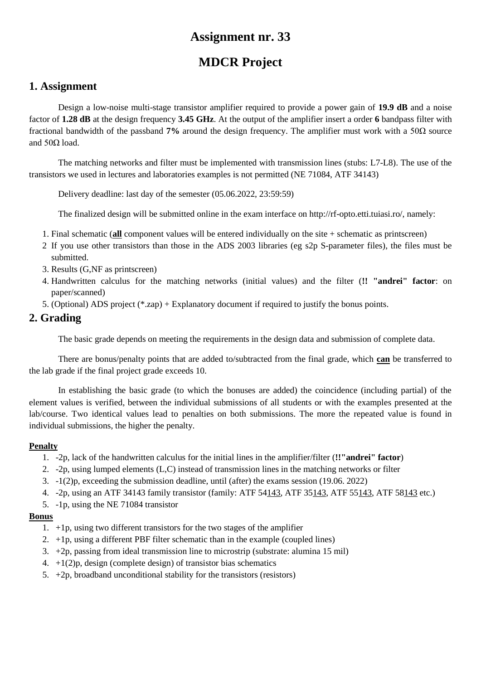# **MDCR Project**

## **1. Assignment**

Design a low-noise multi-stage transistor amplifier required to provide a power gain of **19.9 dB** and a noise factor of **1.28 dB** at the design frequency **3.45 GHz**. At the output of the amplifier insert a order **6** bandpass filter with fractional bandwidth of the passband **7%** around the design frequency. The amplifier must work with a 50Ω source and  $50Ω$  load.

The matching networks and filter must be implemented with transmission lines (stubs: L7-L8). The use of the transistors we used in lectures and laboratories examples is not permitted (NE 71084, ATF 34143)

Delivery deadline: last day of the semester (05.06.2022, 23:59:59)

The finalized design will be submitted online in the exam interface on http://rf-opto.etti.tuiasi.ro/, namely:

- 1. Final schematic (**all** component values will be entered individually on the site + schematic as printscreen)
- 2 If you use other transistors than those in the ADS 2003 libraries (eg s2p S-parameter files), the files must be submitted.
- 3. Results (G,NF as printscreen)
- 4. Handwritten calculus for the matching networks (initial values) and the filter (**!! "andrei" factor**: on paper/scanned)
- 5. (Optional) ADS project (\*.zap) + Explanatory document if required to justify the bonus points.

### **2. Grading**

The basic grade depends on meeting the requirements in the design data and submission of complete data.

There are bonus/penalty points that are added to/subtracted from the final grade, which **can** be transferred to the lab grade if the final project grade exceeds 10.

In establishing the basic grade (to which the bonuses are added) the coincidence (including partial) of the element values is verified, between the individual submissions of all students or with the examples presented at the lab/course. Two identical values lead to penalties on both submissions. The more the repeated value is found in individual submissions, the higher the penalty.

#### **Penalty**

- 1. -2p, lack of the handwritten calculus for the initial lines in the amplifier/filter (**!!"andrei" factor**)
- 2. -2p, using lumped elements (L,C) instead of transmission lines in the matching networks or filter
- 3. -1(2)p, exceeding the submission deadline, until (after) the exams session (19.06. 2022)
- 4. -2p, using an ATF 34143 family transistor (family: ATF 54143, ATF 35143, ATF 55143, ATF 58143 etc.)
- 5. -1p, using the NE 71084 transistor

- 1. +1p, using two different transistors for the two stages of the amplifier
- 2.  $+1p$ , using a different PBF filter schematic than in the example (coupled lines)
- 3. +2p, passing from ideal transmission line to microstrip (substrate: alumina 15 mil)
- 4.  $+1(2)p$ , design (complete design) of transistor bias schematics
- 5.  $+2p$ , broadband unconditional stability for the transistors (resistors)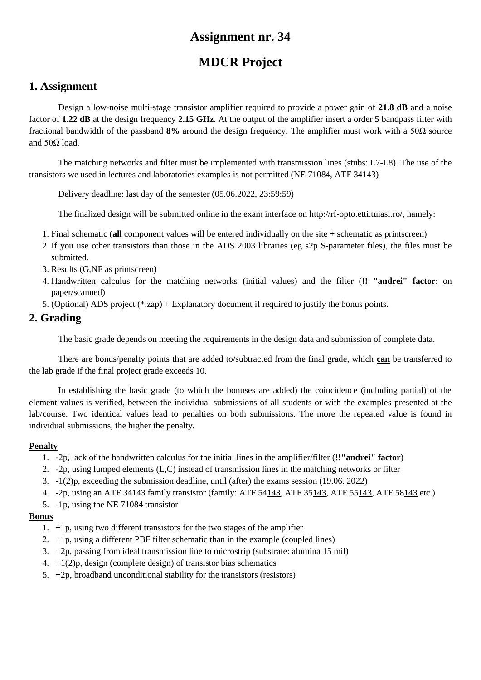# **MDCR Project**

## **1. Assignment**

Design a low-noise multi-stage transistor amplifier required to provide a power gain of **21.8 dB** and a noise factor of **1.22 dB** at the design frequency **2.15 GHz**. At the output of the amplifier insert a order **5** bandpass filter with fractional bandwidth of the passband **8%** around the design frequency. The amplifier must work with a 50Ω source and  $50Ω$  load.

The matching networks and filter must be implemented with transmission lines (stubs: L7-L8). The use of the transistors we used in lectures and laboratories examples is not permitted (NE 71084, ATF 34143)

Delivery deadline: last day of the semester (05.06.2022, 23:59:59)

The finalized design will be submitted online in the exam interface on http://rf-opto.etti.tuiasi.ro/, namely:

- 1. Final schematic (**all** component values will be entered individually on the site + schematic as printscreen)
- 2 If you use other transistors than those in the ADS 2003 libraries (eg s2p S-parameter files), the files must be submitted.
- 3. Results (G,NF as printscreen)
- 4. Handwritten calculus for the matching networks (initial values) and the filter (**!! "andrei" factor**: on paper/scanned)
- 5. (Optional) ADS project (\*.zap) + Explanatory document if required to justify the bonus points.

### **2. Grading**

The basic grade depends on meeting the requirements in the design data and submission of complete data.

There are bonus/penalty points that are added to/subtracted from the final grade, which **can** be transferred to the lab grade if the final project grade exceeds 10.

In establishing the basic grade (to which the bonuses are added) the coincidence (including partial) of the element values is verified, between the individual submissions of all students or with the examples presented at the lab/course. Two identical values lead to penalties on both submissions. The more the repeated value is found in individual submissions, the higher the penalty.

#### **Penalty**

- 1. -2p, lack of the handwritten calculus for the initial lines in the amplifier/filter (**!!"andrei" factor**)
- 2. -2p, using lumped elements (L,C) instead of transmission lines in the matching networks or filter
- 3. -1(2)p, exceeding the submission deadline, until (after) the exams session (19.06. 2022)
- 4. -2p, using an ATF 34143 family transistor (family: ATF 54143, ATF 35143, ATF 55143, ATF 58143 etc.)
- 5. -1p, using the NE 71084 transistor

- 1. +1p, using two different transistors for the two stages of the amplifier
- 2.  $+1p$ , using a different PBF filter schematic than in the example (coupled lines)
- 3. +2p, passing from ideal transmission line to microstrip (substrate: alumina 15 mil)
- 4.  $+1(2)p$ , design (complete design) of transistor bias schematics
- 5.  $+2p$ , broadband unconditional stability for the transistors (resistors)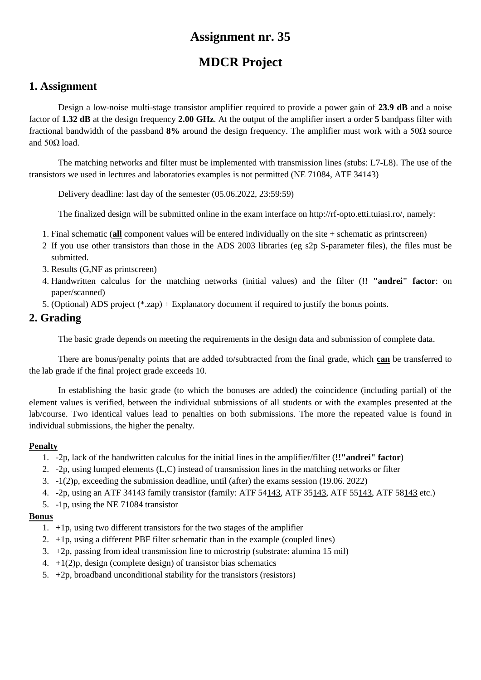# **MDCR Project**

## **1. Assignment**

Design a low-noise multi-stage transistor amplifier required to provide a power gain of **23.9 dB** and a noise factor of **1.32 dB** at the design frequency **2.00 GHz**. At the output of the amplifier insert a order **5** bandpass filter with fractional bandwidth of the passband **8%** around the design frequency. The amplifier must work with a 50Ω source and  $50Ω$  load.

The matching networks and filter must be implemented with transmission lines (stubs: L7-L8). The use of the transistors we used in lectures and laboratories examples is not permitted (NE 71084, ATF 34143)

Delivery deadline: last day of the semester (05.06.2022, 23:59:59)

The finalized design will be submitted online in the exam interface on http://rf-opto.etti.tuiasi.ro/, namely:

- 1. Final schematic (**all** component values will be entered individually on the site + schematic as printscreen)
- 2 If you use other transistors than those in the ADS 2003 libraries (eg s2p S-parameter files), the files must be submitted.
- 3. Results (G,NF as printscreen)
- 4. Handwritten calculus for the matching networks (initial values) and the filter (**!! "andrei" factor**: on paper/scanned)
- 5. (Optional) ADS project (\*.zap) + Explanatory document if required to justify the bonus points.

### **2. Grading**

The basic grade depends on meeting the requirements in the design data and submission of complete data.

There are bonus/penalty points that are added to/subtracted from the final grade, which **can** be transferred to the lab grade if the final project grade exceeds 10.

In establishing the basic grade (to which the bonuses are added) the coincidence (including partial) of the element values is verified, between the individual submissions of all students or with the examples presented at the lab/course. Two identical values lead to penalties on both submissions. The more the repeated value is found in individual submissions, the higher the penalty.

#### **Penalty**

- 1. -2p, lack of the handwritten calculus for the initial lines in the amplifier/filter (**!!"andrei" factor**)
- 2. -2p, using lumped elements (L,C) instead of transmission lines in the matching networks or filter
- 3. -1(2)p, exceeding the submission deadline, until (after) the exams session (19.06. 2022)
- 4. -2p, using an ATF 34143 family transistor (family: ATF 54143, ATF 35143, ATF 55143, ATF 58143 etc.)
- 5. -1p, using the NE 71084 transistor

- 1. +1p, using two different transistors for the two stages of the amplifier
- 2.  $+1p$ , using a different PBF filter schematic than in the example (coupled lines)
- 3. +2p, passing from ideal transmission line to microstrip (substrate: alumina 15 mil)
- 4.  $+1(2)p$ , design (complete design) of transistor bias schematics
- 5.  $+2p$ , broadband unconditional stability for the transistors (resistors)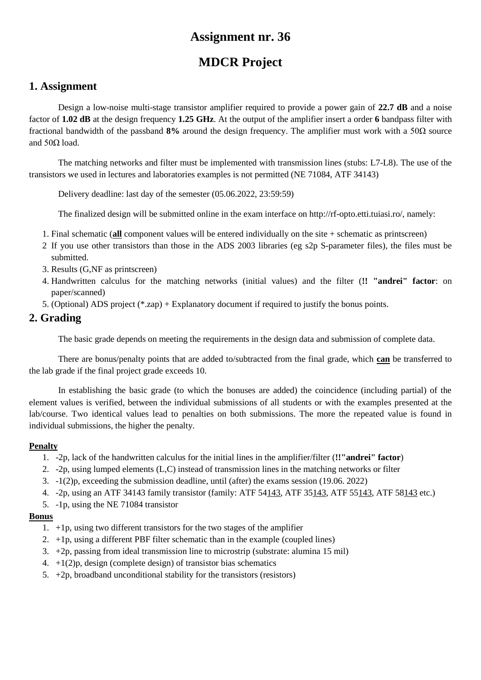# **MDCR Project**

### **1. Assignment**

Design a low-noise multi-stage transistor amplifier required to provide a power gain of **22.7 dB** and a noise factor of **1.02 dB** at the design frequency **1.25 GHz**. At the output of the amplifier insert a order **6** bandpass filter with fractional bandwidth of the passband **8%** around the design frequency. The amplifier must work with a 50Ω source and  $50Ω$  load.

The matching networks and filter must be implemented with transmission lines (stubs: L7-L8). The use of the transistors we used in lectures and laboratories examples is not permitted (NE 71084, ATF 34143)

Delivery deadline: last day of the semester (05.06.2022, 23:59:59)

The finalized design will be submitted online in the exam interface on http://rf-opto.etti.tuiasi.ro/, namely:

- 1. Final schematic (**all** component values will be entered individually on the site + schematic as printscreen)
- 2 If you use other transistors than those in the ADS 2003 libraries (eg s2p S-parameter files), the files must be submitted.
- 3. Results (G,NF as printscreen)
- 4. Handwritten calculus for the matching networks (initial values) and the filter (**!! "andrei" factor**: on paper/scanned)
- 5. (Optional) ADS project (\*.zap) + Explanatory document if required to justify the bonus points.

### **2. Grading**

The basic grade depends on meeting the requirements in the design data and submission of complete data.

There are bonus/penalty points that are added to/subtracted from the final grade, which **can** be transferred to the lab grade if the final project grade exceeds 10.

In establishing the basic grade (to which the bonuses are added) the coincidence (including partial) of the element values is verified, between the individual submissions of all students or with the examples presented at the lab/course. Two identical values lead to penalties on both submissions. The more the repeated value is found in individual submissions, the higher the penalty.

#### **Penalty**

- 1. -2p, lack of the handwritten calculus for the initial lines in the amplifier/filter (**!!"andrei" factor**)
- 2. -2p, using lumped elements (L,C) instead of transmission lines in the matching networks or filter
- 3. -1(2)p, exceeding the submission deadline, until (after) the exams session (19.06. 2022)
- 4. -2p, using an ATF 34143 family transistor (family: ATF 54143, ATF 35143, ATF 55143, ATF 58143 etc.)
- 5. -1p, using the NE 71084 transistor

- 1. +1p, using two different transistors for the two stages of the amplifier
- 2.  $+1p$ , using a different PBF filter schematic than in the example (coupled lines)
- 3. +2p, passing from ideal transmission line to microstrip (substrate: alumina 15 mil)
- 4.  $+1(2)p$ , design (complete design) of transistor bias schematics
- 5.  $+2p$ , broadband unconditional stability for the transistors (resistors)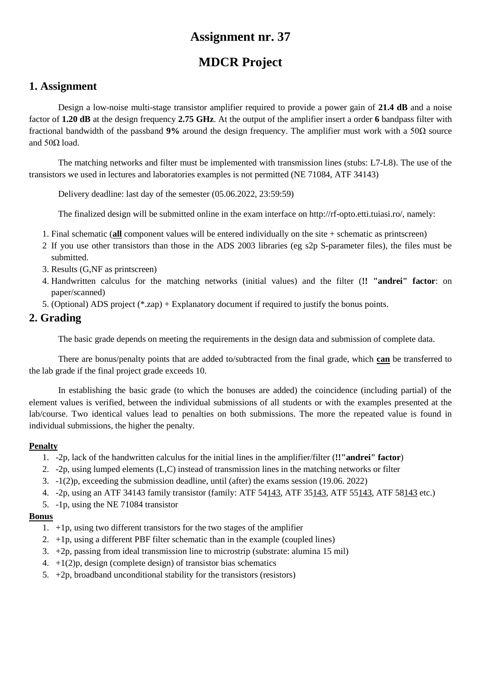# **MDCR Project**

### **1. Assignment**

Design a low-noise multi-stage transistor amplifier required to provide a power gain of **21.4 dB** and a noise factor of **1.20 dB** at the design frequency **2.75 GHz**. At the output of the amplifier insert a order **6** bandpass filter with fractional bandwidth of the passband **9%** around the design frequency. The amplifier must work with a 50Ω source and  $50Ω$  load.

The matching networks and filter must be implemented with transmission lines (stubs: L7-L8). The use of the transistors we used in lectures and laboratories examples is not permitted (NE 71084, ATF 34143)

Delivery deadline: last day of the semester (05.06.2022, 23:59:59)

The finalized design will be submitted online in the exam interface on http://rf-opto.etti.tuiasi.ro/, namely:

- 1. Final schematic (**all** component values will be entered individually on the site + schematic as printscreen)
- 2 If you use other transistors than those in the ADS 2003 libraries (eg s2p S-parameter files), the files must be submitted.
- 3. Results (G,NF as printscreen)
- 4. Handwritten calculus for the matching networks (initial values) and the filter (**!! "andrei" factor**: on paper/scanned)
- 5. (Optional) ADS project (\*.zap) + Explanatory document if required to justify the bonus points.

### **2. Grading**

The basic grade depends on meeting the requirements in the design data and submission of complete data.

There are bonus/penalty points that are added to/subtracted from the final grade, which **can** be transferred to the lab grade if the final project grade exceeds 10.

In establishing the basic grade (to which the bonuses are added) the coincidence (including partial) of the element values is verified, between the individual submissions of all students or with the examples presented at the lab/course. Two identical values lead to penalties on both submissions. The more the repeated value is found in individual submissions, the higher the penalty.

#### **Penalty**

- 1. -2p, lack of the handwritten calculus for the initial lines in the amplifier/filter (**!!"andrei" factor**)
- 2. -2p, using lumped elements (L,C) instead of transmission lines in the matching networks or filter
- 3. -1(2)p, exceeding the submission deadline, until (after) the exams session (19.06. 2022)
- 4. -2p, using an ATF 34143 family transistor (family: ATF 54143, ATF 35143, ATF 55143, ATF 58143 etc.)
- 5. -1p, using the NE 71084 transistor

- 1. +1p, using two different transistors for the two stages of the amplifier
- 2.  $+1p$ , using a different PBF filter schematic than in the example (coupled lines)
- 3. +2p, passing from ideal transmission line to microstrip (substrate: alumina 15 mil)
- 4.  $+1(2)p$ , design (complete design) of transistor bias schematics
- 5.  $+2p$ , broadband unconditional stability for the transistors (resistors)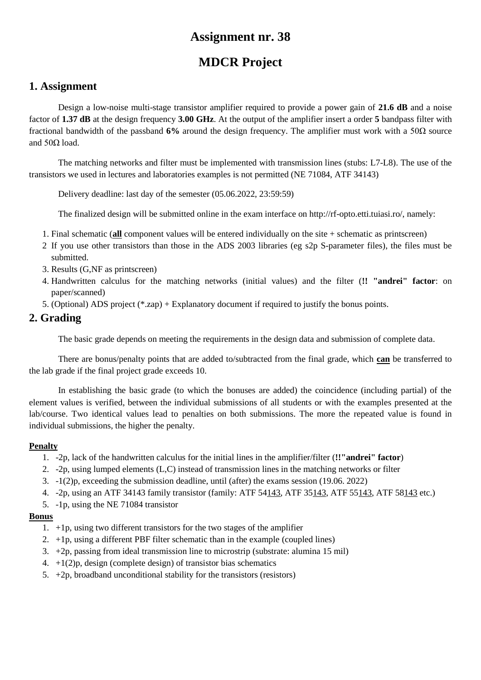# **MDCR Project**

## **1. Assignment**

Design a low-noise multi-stage transistor amplifier required to provide a power gain of **21.6 dB** and a noise factor of **1.37 dB** at the design frequency **3.00 GHz**. At the output of the amplifier insert a order **5** bandpass filter with fractional bandwidth of the passband **6%** around the design frequency. The amplifier must work with a 50Ω source and  $50Ω$  load.

The matching networks and filter must be implemented with transmission lines (stubs: L7-L8). The use of the transistors we used in lectures and laboratories examples is not permitted (NE 71084, ATF 34143)

Delivery deadline: last day of the semester (05.06.2022, 23:59:59)

The finalized design will be submitted online in the exam interface on http://rf-opto.etti.tuiasi.ro/, namely:

- 1. Final schematic (**all** component values will be entered individually on the site + schematic as printscreen)
- 2 If you use other transistors than those in the ADS 2003 libraries (eg s2p S-parameter files), the files must be submitted.
- 3. Results (G,NF as printscreen)
- 4. Handwritten calculus for the matching networks (initial values) and the filter (**!! "andrei" factor**: on paper/scanned)
- 5. (Optional) ADS project (\*.zap) + Explanatory document if required to justify the bonus points.

## **2. Grading**

The basic grade depends on meeting the requirements in the design data and submission of complete data.

There are bonus/penalty points that are added to/subtracted from the final grade, which **can** be transferred to the lab grade if the final project grade exceeds 10.

In establishing the basic grade (to which the bonuses are added) the coincidence (including partial) of the element values is verified, between the individual submissions of all students or with the examples presented at the lab/course. Two identical values lead to penalties on both submissions. The more the repeated value is found in individual submissions, the higher the penalty.

#### **Penalty**

- 1. -2p, lack of the handwritten calculus for the initial lines in the amplifier/filter (**!!"andrei" factor**)
- 2. -2p, using lumped elements (L,C) instead of transmission lines in the matching networks or filter
- 3. -1(2)p, exceeding the submission deadline, until (after) the exams session (19.06. 2022)
- 4. -2p, using an ATF 34143 family transistor (family: ATF 54143, ATF 35143, ATF 55143, ATF 58143 etc.)
- 5. -1p, using the NE 71084 transistor

- 1. +1p, using two different transistors for the two stages of the amplifier
- 2.  $+1p$ , using a different PBF filter schematic than in the example (coupled lines)
- 3. +2p, passing from ideal transmission line to microstrip (substrate: alumina 15 mil)
- 4.  $+1(2)p$ , design (complete design) of transistor bias schematics
- 5.  $+2p$ , broadband unconditional stability for the transistors (resistors)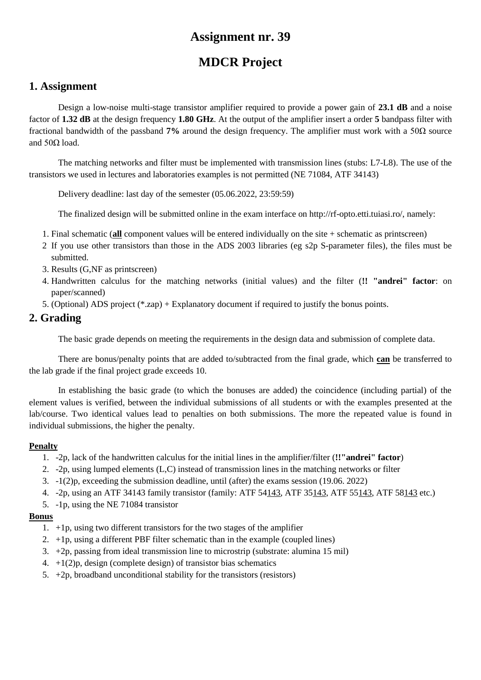# **MDCR Project**

## **1. Assignment**

Design a low-noise multi-stage transistor amplifier required to provide a power gain of **23.1 dB** and a noise factor of **1.32 dB** at the design frequency **1.80 GHz**. At the output of the amplifier insert a order **5** bandpass filter with fractional bandwidth of the passband **7%** around the design frequency. The amplifier must work with a 50Ω source and  $50Ω$  load.

The matching networks and filter must be implemented with transmission lines (stubs: L7-L8). The use of the transistors we used in lectures and laboratories examples is not permitted (NE 71084, ATF 34143)

Delivery deadline: last day of the semester (05.06.2022, 23:59:59)

The finalized design will be submitted online in the exam interface on http://rf-opto.etti.tuiasi.ro/, namely:

- 1. Final schematic (**all** component values will be entered individually on the site + schematic as printscreen)
- 2 If you use other transistors than those in the ADS 2003 libraries (eg s2p S-parameter files), the files must be submitted.
- 3. Results (G,NF as printscreen)
- 4. Handwritten calculus for the matching networks (initial values) and the filter (**!! "andrei" factor**: on paper/scanned)
- 5. (Optional) ADS project (\*.zap) + Explanatory document if required to justify the bonus points.

### **2. Grading**

The basic grade depends on meeting the requirements in the design data and submission of complete data.

There are bonus/penalty points that are added to/subtracted from the final grade, which **can** be transferred to the lab grade if the final project grade exceeds 10.

In establishing the basic grade (to which the bonuses are added) the coincidence (including partial) of the element values is verified, between the individual submissions of all students or with the examples presented at the lab/course. Two identical values lead to penalties on both submissions. The more the repeated value is found in individual submissions, the higher the penalty.

#### **Penalty**

- 1. -2p, lack of the handwritten calculus for the initial lines in the amplifier/filter (**!!"andrei" factor**)
- 2. -2p, using lumped elements (L,C) instead of transmission lines in the matching networks or filter
- 3. -1(2)p, exceeding the submission deadline, until (after) the exams session (19.06. 2022)
- 4. -2p, using an ATF 34143 family transistor (family: ATF 54143, ATF 35143, ATF 55143, ATF 58143 etc.)
- 5. -1p, using the NE 71084 transistor

- 1. +1p, using two different transistors for the two stages of the amplifier
- 2.  $+1p$ , using a different PBF filter schematic than in the example (coupled lines)
- 3. +2p, passing from ideal transmission line to microstrip (substrate: alumina 15 mil)
- 4.  $+1(2)p$ , design (complete design) of transistor bias schematics
- 5.  $+2p$ , broadband unconditional stability for the transistors (resistors)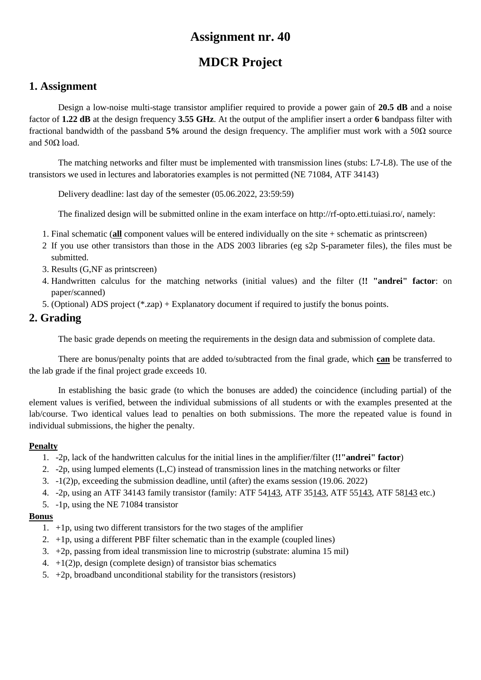# **MDCR Project**

## **1. Assignment**

Design a low-noise multi-stage transistor amplifier required to provide a power gain of **20.5 dB** and a noise factor of **1.22 dB** at the design frequency **3.55 GHz**. At the output of the amplifier insert a order **6** bandpass filter with fractional bandwidth of the passband **5%** around the design frequency. The amplifier must work with a 50Ω source and  $50Ω$  load.

The matching networks and filter must be implemented with transmission lines (stubs: L7-L8). The use of the transistors we used in lectures and laboratories examples is not permitted (NE 71084, ATF 34143)

Delivery deadline: last day of the semester (05.06.2022, 23:59:59)

The finalized design will be submitted online in the exam interface on http://rf-opto.etti.tuiasi.ro/, namely:

- 1. Final schematic (**all** component values will be entered individually on the site + schematic as printscreen)
- 2 If you use other transistors than those in the ADS 2003 libraries (eg s2p S-parameter files), the files must be submitted.
- 3. Results (G,NF as printscreen)
- 4. Handwritten calculus for the matching networks (initial values) and the filter (**!! "andrei" factor**: on paper/scanned)
- 5. (Optional) ADS project (\*.zap) + Explanatory document if required to justify the bonus points.

### **2. Grading**

The basic grade depends on meeting the requirements in the design data and submission of complete data.

There are bonus/penalty points that are added to/subtracted from the final grade, which **can** be transferred to the lab grade if the final project grade exceeds 10.

In establishing the basic grade (to which the bonuses are added) the coincidence (including partial) of the element values is verified, between the individual submissions of all students or with the examples presented at the lab/course. Two identical values lead to penalties on both submissions. The more the repeated value is found in individual submissions, the higher the penalty.

#### **Penalty**

- 1. -2p, lack of the handwritten calculus for the initial lines in the amplifier/filter (**!!"andrei" factor**)
- 2. -2p, using lumped elements (L,C) instead of transmission lines in the matching networks or filter
- 3. -1(2)p, exceeding the submission deadline, until (after) the exams session (19.06. 2022)
- 4. -2p, using an ATF 34143 family transistor (family: ATF 54143, ATF 35143, ATF 55143, ATF 58143 etc.)
- 5. -1p, using the NE 71084 transistor

- 1. +1p, using two different transistors for the two stages of the amplifier
- 2.  $+1p$ , using a different PBF filter schematic than in the example (coupled lines)
- 3. +2p, passing from ideal transmission line to microstrip (substrate: alumina 15 mil)
- 4.  $+1(2)p$ , design (complete design) of transistor bias schematics
- 5.  $+2p$ , broadband unconditional stability for the transistors (resistors)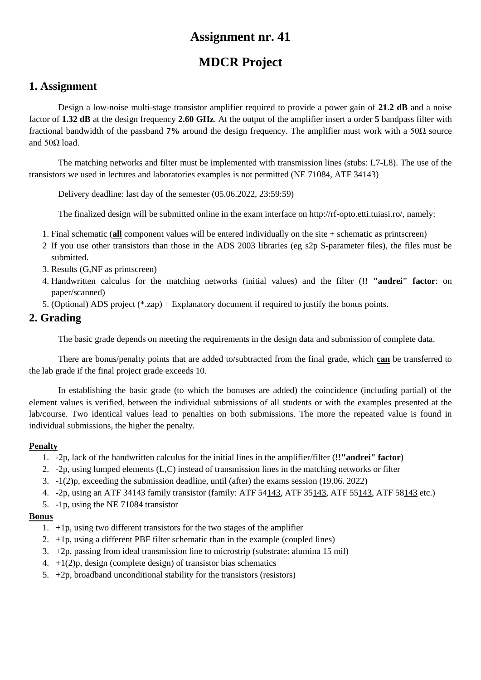# **MDCR Project**

## **1. Assignment**

Design a low-noise multi-stage transistor amplifier required to provide a power gain of **21.2 dB** and a noise factor of **1.32 dB** at the design frequency **2.60 GHz**. At the output of the amplifier insert a order **5** bandpass filter with fractional bandwidth of the passband **7%** around the design frequency. The amplifier must work with a 50Ω source and  $50Ω$  load.

The matching networks and filter must be implemented with transmission lines (stubs: L7-L8). The use of the transistors we used in lectures and laboratories examples is not permitted (NE 71084, ATF 34143)

Delivery deadline: last day of the semester (05.06.2022, 23:59:59)

The finalized design will be submitted online in the exam interface on http://rf-opto.etti.tuiasi.ro/, namely:

- 1. Final schematic (**all** component values will be entered individually on the site + schematic as printscreen)
- 2 If you use other transistors than those in the ADS 2003 libraries (eg s2p S-parameter files), the files must be submitted.
- 3. Results (G,NF as printscreen)
- 4. Handwritten calculus for the matching networks (initial values) and the filter (**!! "andrei" factor**: on paper/scanned)
- 5. (Optional) ADS project (\*.zap) + Explanatory document if required to justify the bonus points.

### **2. Grading**

The basic grade depends on meeting the requirements in the design data and submission of complete data.

There are bonus/penalty points that are added to/subtracted from the final grade, which **can** be transferred to the lab grade if the final project grade exceeds 10.

In establishing the basic grade (to which the bonuses are added) the coincidence (including partial) of the element values is verified, between the individual submissions of all students or with the examples presented at the lab/course. Two identical values lead to penalties on both submissions. The more the repeated value is found in individual submissions, the higher the penalty.

#### **Penalty**

- 1. -2p, lack of the handwritten calculus for the initial lines in the amplifier/filter (**!!"andrei" factor**)
- 2. -2p, using lumped elements (L,C) instead of transmission lines in the matching networks or filter
- 3. -1(2)p, exceeding the submission deadline, until (after) the exams session (19.06. 2022)
- 4. -2p, using an ATF 34143 family transistor (family: ATF 54143, ATF 35143, ATF 55143, ATF 58143 etc.)
- 5. -1p, using the NE 71084 transistor

- 1. +1p, using two different transistors for the two stages of the amplifier
- 2.  $+1p$ , using a different PBF filter schematic than in the example (coupled lines)
- 3. +2p, passing from ideal transmission line to microstrip (substrate: alumina 15 mil)
- 4.  $+1(2)p$ , design (complete design) of transistor bias schematics
- 5.  $+2p$ , broadband unconditional stability for the transistors (resistors)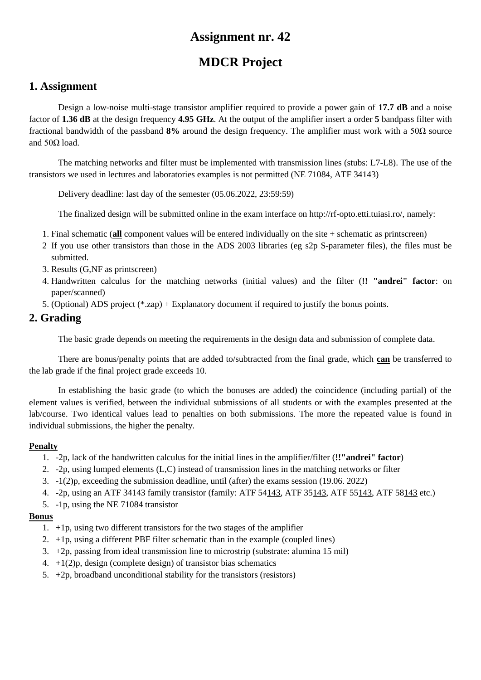# **MDCR Project**

## **1. Assignment**

Design a low-noise multi-stage transistor amplifier required to provide a power gain of **17.7 dB** and a noise factor of **1.36 dB** at the design frequency **4.95 GHz**. At the output of the amplifier insert a order **5** bandpass filter with fractional bandwidth of the passband **8%** around the design frequency. The amplifier must work with a 50Ω source and  $50Ω$  load.

The matching networks and filter must be implemented with transmission lines (stubs: L7-L8). The use of the transistors we used in lectures and laboratories examples is not permitted (NE 71084, ATF 34143)

Delivery deadline: last day of the semester (05.06.2022, 23:59:59)

The finalized design will be submitted online in the exam interface on http://rf-opto.etti.tuiasi.ro/, namely:

- 1. Final schematic (**all** component values will be entered individually on the site + schematic as printscreen)
- 2 If you use other transistors than those in the ADS 2003 libraries (eg s2p S-parameter files), the files must be submitted.
- 3. Results (G,NF as printscreen)
- 4. Handwritten calculus for the matching networks (initial values) and the filter (**!! "andrei" factor**: on paper/scanned)
- 5. (Optional) ADS project (\*.zap) + Explanatory document if required to justify the bonus points.

### **2. Grading**

The basic grade depends on meeting the requirements in the design data and submission of complete data.

There are bonus/penalty points that are added to/subtracted from the final grade, which **can** be transferred to the lab grade if the final project grade exceeds 10.

In establishing the basic grade (to which the bonuses are added) the coincidence (including partial) of the element values is verified, between the individual submissions of all students or with the examples presented at the lab/course. Two identical values lead to penalties on both submissions. The more the repeated value is found in individual submissions, the higher the penalty.

#### **Penalty**

- 1. -2p, lack of the handwritten calculus for the initial lines in the amplifier/filter (**!!"andrei" factor**)
- 2. -2p, using lumped elements (L,C) instead of transmission lines in the matching networks or filter
- 3. -1(2)p, exceeding the submission deadline, until (after) the exams session (19.06. 2022)
- 4. -2p, using an ATF 34143 family transistor (family: ATF 54143, ATF 35143, ATF 55143, ATF 58143 etc.)
- 5. -1p, using the NE 71084 transistor

- 1. +1p, using two different transistors for the two stages of the amplifier
- 2.  $+1p$ , using a different PBF filter schematic than in the example (coupled lines)
- 3. +2p, passing from ideal transmission line to microstrip (substrate: alumina 15 mil)
- 4.  $+1(2)p$ , design (complete design) of transistor bias schematics
- 5.  $+2p$ , broadband unconditional stability for the transistors (resistors)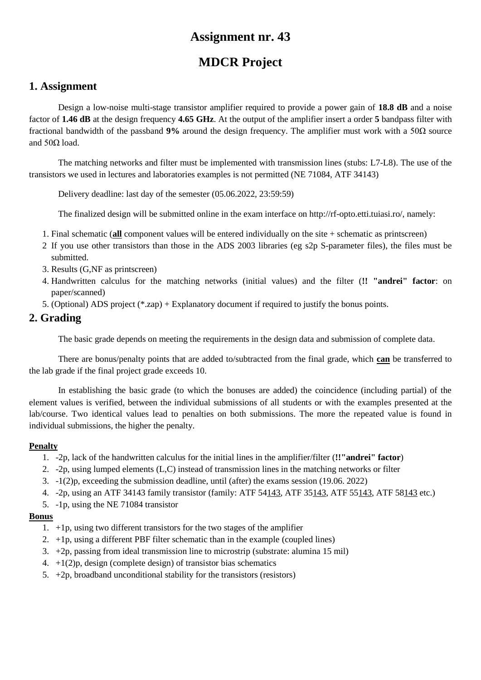# **MDCR Project**

## **1. Assignment**

Design a low-noise multi-stage transistor amplifier required to provide a power gain of **18.8 dB** and a noise factor of **1.46 dB** at the design frequency **4.65 GHz**. At the output of the amplifier insert a order **5** bandpass filter with fractional bandwidth of the passband **9%** around the design frequency. The amplifier must work with a 50Ω source and  $50Ω$  load.

The matching networks and filter must be implemented with transmission lines (stubs: L7-L8). The use of the transistors we used in lectures and laboratories examples is not permitted (NE 71084, ATF 34143)

Delivery deadline: last day of the semester (05.06.2022, 23:59:59)

The finalized design will be submitted online in the exam interface on http://rf-opto.etti.tuiasi.ro/, namely:

- 1. Final schematic (**all** component values will be entered individually on the site + schematic as printscreen)
- 2 If you use other transistors than those in the ADS 2003 libraries (eg s2p S-parameter files), the files must be submitted.
- 3. Results (G,NF as printscreen)
- 4. Handwritten calculus for the matching networks (initial values) and the filter (**!! "andrei" factor**: on paper/scanned)
- 5. (Optional) ADS project (\*.zap) + Explanatory document if required to justify the bonus points.

### **2. Grading**

The basic grade depends on meeting the requirements in the design data and submission of complete data.

There are bonus/penalty points that are added to/subtracted from the final grade, which **can** be transferred to the lab grade if the final project grade exceeds 10.

In establishing the basic grade (to which the bonuses are added) the coincidence (including partial) of the element values is verified, between the individual submissions of all students or with the examples presented at the lab/course. Two identical values lead to penalties on both submissions. The more the repeated value is found in individual submissions, the higher the penalty.

#### **Penalty**

- 1. -2p, lack of the handwritten calculus for the initial lines in the amplifier/filter (**!!"andrei" factor**)
- 2. -2p, using lumped elements (L,C) instead of transmission lines in the matching networks or filter
- 3. -1(2)p, exceeding the submission deadline, until (after) the exams session (19.06. 2022)
- 4. -2p, using an ATF 34143 family transistor (family: ATF 54143, ATF 35143, ATF 55143, ATF 58143 etc.)
- 5. -1p, using the NE 71084 transistor

- 1. +1p, using two different transistors for the two stages of the amplifier
- 2.  $+1p$ , using a different PBF filter schematic than in the example (coupled lines)
- 3. +2p, passing from ideal transmission line to microstrip (substrate: alumina 15 mil)
- 4.  $+1(2)p$ , design (complete design) of transistor bias schematics
- 5.  $+2p$ , broadband unconditional stability for the transistors (resistors)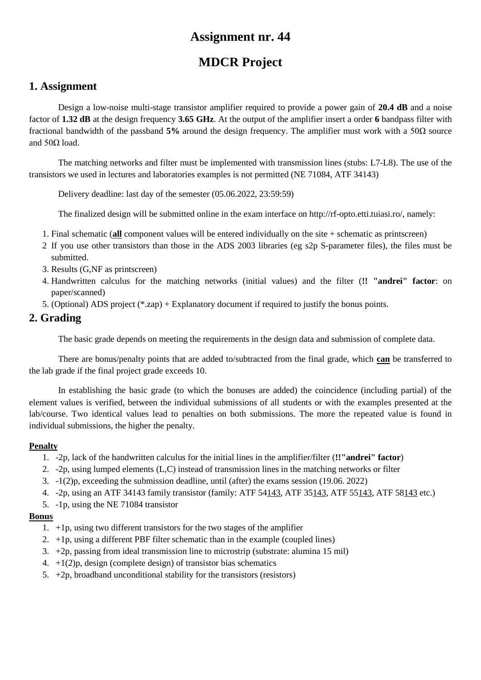# **MDCR Project**

## **1. Assignment**

Design a low-noise multi-stage transistor amplifier required to provide a power gain of **20.4 dB** and a noise factor of **1.32 dB** at the design frequency **3.65 GHz**. At the output of the amplifier insert a order **6** bandpass filter with fractional bandwidth of the passband **5%** around the design frequency. The amplifier must work with a 50Ω source and  $50Ω$  load.

The matching networks and filter must be implemented with transmission lines (stubs: L7-L8). The use of the transistors we used in lectures and laboratories examples is not permitted (NE 71084, ATF 34143)

Delivery deadline: last day of the semester (05.06.2022, 23:59:59)

The finalized design will be submitted online in the exam interface on http://rf-opto.etti.tuiasi.ro/, namely:

- 1. Final schematic (**all** component values will be entered individually on the site + schematic as printscreen)
- 2 If you use other transistors than those in the ADS 2003 libraries (eg s2p S-parameter files), the files must be submitted.
- 3. Results (G,NF as printscreen)
- 4. Handwritten calculus for the matching networks (initial values) and the filter (**!! "andrei" factor**: on paper/scanned)
- 5. (Optional) ADS project (\*.zap) + Explanatory document if required to justify the bonus points.

### **2. Grading**

The basic grade depends on meeting the requirements in the design data and submission of complete data.

There are bonus/penalty points that are added to/subtracted from the final grade, which **can** be transferred to the lab grade if the final project grade exceeds 10.

In establishing the basic grade (to which the bonuses are added) the coincidence (including partial) of the element values is verified, between the individual submissions of all students or with the examples presented at the lab/course. Two identical values lead to penalties on both submissions. The more the repeated value is found in individual submissions, the higher the penalty.

#### **Penalty**

- 1. -2p, lack of the handwritten calculus for the initial lines in the amplifier/filter (**!!"andrei" factor**)
- 2. -2p, using lumped elements (L,C) instead of transmission lines in the matching networks or filter
- 3. -1(2)p, exceeding the submission deadline, until (after) the exams session (19.06. 2022)
- 4. -2p, using an ATF 34143 family transistor (family: ATF 54143, ATF 35143, ATF 55143, ATF 58143 etc.)
- 5. -1p, using the NE 71084 transistor

- 1. +1p, using two different transistors for the two stages of the amplifier
- 2.  $+1p$ , using a different PBF filter schematic than in the example (coupled lines)
- 3. +2p, passing from ideal transmission line to microstrip (substrate: alumina 15 mil)
- 4.  $+1(2)p$ , design (complete design) of transistor bias schematics
- 5.  $+2p$ , broadband unconditional stability for the transistors (resistors)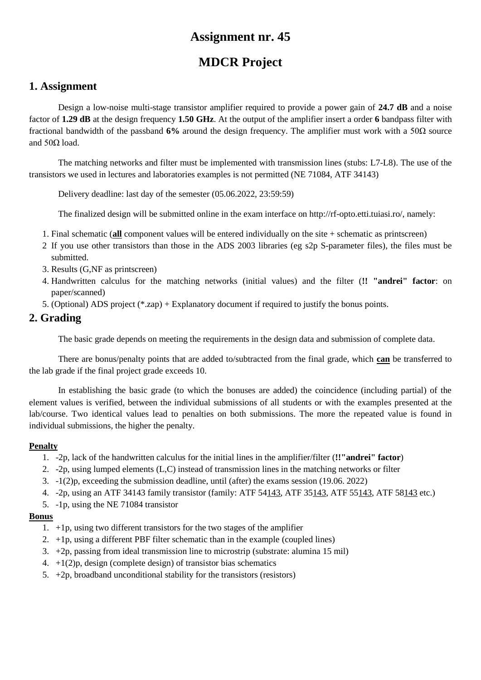# **MDCR Project**

## **1. Assignment**

Design a low-noise multi-stage transistor amplifier required to provide a power gain of **24.7 dB** and a noise factor of **1.29 dB** at the design frequency **1.50 GHz**. At the output of the amplifier insert a order **6** bandpass filter with fractional bandwidth of the passband **6%** around the design frequency. The amplifier must work with a 50Ω source and  $50Ω$  load.

The matching networks and filter must be implemented with transmission lines (stubs: L7-L8). The use of the transistors we used in lectures and laboratories examples is not permitted (NE 71084, ATF 34143)

Delivery deadline: last day of the semester (05.06.2022, 23:59:59)

The finalized design will be submitted online in the exam interface on http://rf-opto.etti.tuiasi.ro/, namely:

- 1. Final schematic (**all** component values will be entered individually on the site + schematic as printscreen)
- 2 If you use other transistors than those in the ADS 2003 libraries (eg s2p S-parameter files), the files must be submitted.
- 3. Results (G,NF as printscreen)
- 4. Handwritten calculus for the matching networks (initial values) and the filter (**!! "andrei" factor**: on paper/scanned)
- 5. (Optional) ADS project (\*.zap) + Explanatory document if required to justify the bonus points.

## **2. Grading**

The basic grade depends on meeting the requirements in the design data and submission of complete data.

There are bonus/penalty points that are added to/subtracted from the final grade, which **can** be transferred to the lab grade if the final project grade exceeds 10.

In establishing the basic grade (to which the bonuses are added) the coincidence (including partial) of the element values is verified, between the individual submissions of all students or with the examples presented at the lab/course. Two identical values lead to penalties on both submissions. The more the repeated value is found in individual submissions, the higher the penalty.

#### **Penalty**

- 1. -2p, lack of the handwritten calculus for the initial lines in the amplifier/filter (**!!"andrei" factor**)
- 2. -2p, using lumped elements (L,C) instead of transmission lines in the matching networks or filter
- 3. -1(2)p, exceeding the submission deadline, until (after) the exams session (19.06. 2022)
- 4. -2p, using an ATF 34143 family transistor (family: ATF 54143, ATF 35143, ATF 55143, ATF 58143 etc.)
- 5. -1p, using the NE 71084 transistor

- 1. +1p, using two different transistors for the two stages of the amplifier
- 2.  $+1p$ , using a different PBF filter schematic than in the example (coupled lines)
- 3. +2p, passing from ideal transmission line to microstrip (substrate: alumina 15 mil)
- 4.  $+1(2)p$ , design (complete design) of transistor bias schematics
- 5.  $+2p$ , broadband unconditional stability for the transistors (resistors)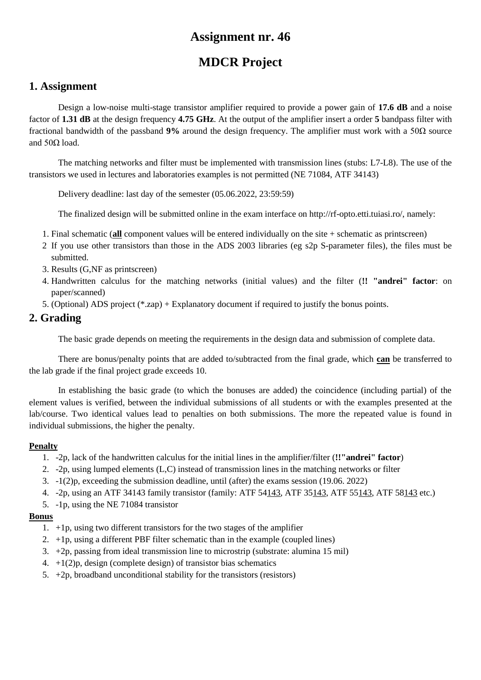# **MDCR Project**

## **1. Assignment**

Design a low-noise multi-stage transistor amplifier required to provide a power gain of **17.6 dB** and a noise factor of **1.31 dB** at the design frequency **4.75 GHz**. At the output of the amplifier insert a order **5** bandpass filter with fractional bandwidth of the passband **9%** around the design frequency. The amplifier must work with a 50Ω source and  $50Ω$  load.

The matching networks and filter must be implemented with transmission lines (stubs: L7-L8). The use of the transistors we used in lectures and laboratories examples is not permitted (NE 71084, ATF 34143)

Delivery deadline: last day of the semester (05.06.2022, 23:59:59)

The finalized design will be submitted online in the exam interface on http://rf-opto.etti.tuiasi.ro/, namely:

- 1. Final schematic (**all** component values will be entered individually on the site + schematic as printscreen)
- 2 If you use other transistors than those in the ADS 2003 libraries (eg s2p S-parameter files), the files must be submitted.
- 3. Results (G,NF as printscreen)
- 4. Handwritten calculus for the matching networks (initial values) and the filter (**!! "andrei" factor**: on paper/scanned)
- 5. (Optional) ADS project (\*.zap) + Explanatory document if required to justify the bonus points.

### **2. Grading**

The basic grade depends on meeting the requirements in the design data and submission of complete data.

There are bonus/penalty points that are added to/subtracted from the final grade, which **can** be transferred to the lab grade if the final project grade exceeds 10.

In establishing the basic grade (to which the bonuses are added) the coincidence (including partial) of the element values is verified, between the individual submissions of all students or with the examples presented at the lab/course. Two identical values lead to penalties on both submissions. The more the repeated value is found in individual submissions, the higher the penalty.

#### **Penalty**

- 1. -2p, lack of the handwritten calculus for the initial lines in the amplifier/filter (**!!"andrei" factor**)
- 2. -2p, using lumped elements (L,C) instead of transmission lines in the matching networks or filter
- 3. -1(2)p, exceeding the submission deadline, until (after) the exams session (19.06. 2022)
- 4. -2p, using an ATF 34143 family transistor (family: ATF 54143, ATF 35143, ATF 55143, ATF 58143 etc.)
- 5. -1p, using the NE 71084 transistor

- 1. +1p, using two different transistors for the two stages of the amplifier
- 2.  $+1p$ , using a different PBF filter schematic than in the example (coupled lines)
- 3. +2p, passing from ideal transmission line to microstrip (substrate: alumina 15 mil)
- 4.  $+1(2)p$ , design (complete design) of transistor bias schematics
- 5.  $+2p$ , broadband unconditional stability for the transistors (resistors)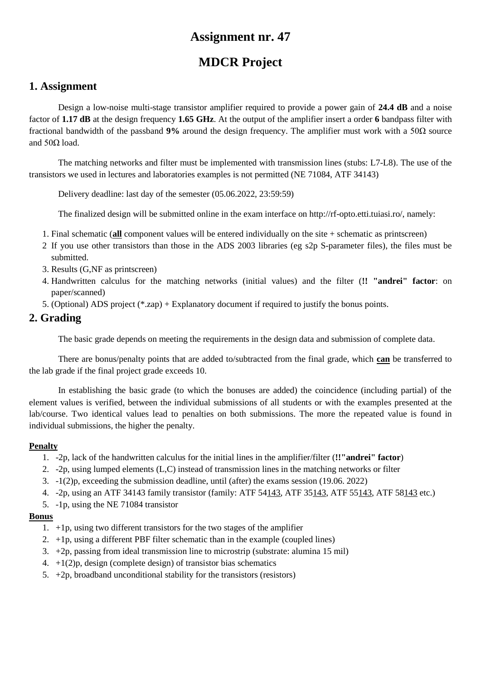# **MDCR Project**

### **1. Assignment**

Design a low-noise multi-stage transistor amplifier required to provide a power gain of **24.4 dB** and a noise factor of **1.17 dB** at the design frequency **1.65 GHz**. At the output of the amplifier insert a order **6** bandpass filter with fractional bandwidth of the passband **9%** around the design frequency. The amplifier must work with a 50Ω source and  $50Ω$  load.

The matching networks and filter must be implemented with transmission lines (stubs: L7-L8). The use of the transistors we used in lectures and laboratories examples is not permitted (NE 71084, ATF 34143)

Delivery deadline: last day of the semester (05.06.2022, 23:59:59)

The finalized design will be submitted online in the exam interface on http://rf-opto.etti.tuiasi.ro/, namely:

- 1. Final schematic (**all** component values will be entered individually on the site + schematic as printscreen)
- 2 If you use other transistors than those in the ADS 2003 libraries (eg s2p S-parameter files), the files must be submitted.
- 3. Results (G,NF as printscreen)
- 4. Handwritten calculus for the matching networks (initial values) and the filter (**!! "andrei" factor**: on paper/scanned)
- 5. (Optional) ADS project (\*.zap) + Explanatory document if required to justify the bonus points.

### **2. Grading**

The basic grade depends on meeting the requirements in the design data and submission of complete data.

There are bonus/penalty points that are added to/subtracted from the final grade, which **can** be transferred to the lab grade if the final project grade exceeds 10.

In establishing the basic grade (to which the bonuses are added) the coincidence (including partial) of the element values is verified, between the individual submissions of all students or with the examples presented at the lab/course. Two identical values lead to penalties on both submissions. The more the repeated value is found in individual submissions, the higher the penalty.

#### **Penalty**

- 1. -2p, lack of the handwritten calculus for the initial lines in the amplifier/filter (**!!"andrei" factor**)
- 2. -2p, using lumped elements (L,C) instead of transmission lines in the matching networks or filter
- 3. -1(2)p, exceeding the submission deadline, until (after) the exams session (19.06. 2022)
- 4. -2p, using an ATF 34143 family transistor (family: ATF 54143, ATF 35143, ATF 55143, ATF 58143 etc.)
- 5. -1p, using the NE 71084 transistor

- 1. +1p, using two different transistors for the two stages of the amplifier
- 2.  $+1p$ , using a different PBF filter schematic than in the example (coupled lines)
- 3. +2p, passing from ideal transmission line to microstrip (substrate: alumina 15 mil)
- 4.  $+1(2)p$ , design (complete design) of transistor bias schematics
- 5.  $+2p$ , broadband unconditional stability for the transistors (resistors)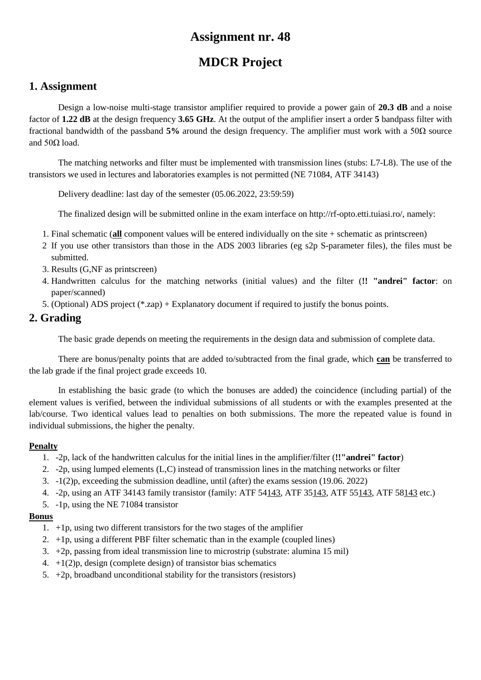# **MDCR Project**

## **1. Assignment**

Design a low-noise multi-stage transistor amplifier required to provide a power gain of **20.3 dB** and a noise factor of **1.22 dB** at the design frequency **3.65 GHz**. At the output of the amplifier insert a order **5** bandpass filter with fractional bandwidth of the passband **5%** around the design frequency. The amplifier must work with a 50Ω source and  $50Ω$  load.

The matching networks and filter must be implemented with transmission lines (stubs: L7-L8). The use of the transistors we used in lectures and laboratories examples is not permitted (NE 71084, ATF 34143)

Delivery deadline: last day of the semester (05.06.2022, 23:59:59)

The finalized design will be submitted online in the exam interface on http://rf-opto.etti.tuiasi.ro/, namely:

- 1. Final schematic (**all** component values will be entered individually on the site + schematic as printscreen)
- 2 If you use other transistors than those in the ADS 2003 libraries (eg s2p S-parameter files), the files must be submitted.
- 3. Results (G,NF as printscreen)
- 4. Handwritten calculus for the matching networks (initial values) and the filter (**!! "andrei" factor**: on paper/scanned)
- 5. (Optional) ADS project (\*.zap) + Explanatory document if required to justify the bonus points.

### **2. Grading**

The basic grade depends on meeting the requirements in the design data and submission of complete data.

There are bonus/penalty points that are added to/subtracted from the final grade, which **can** be transferred to the lab grade if the final project grade exceeds 10.

In establishing the basic grade (to which the bonuses are added) the coincidence (including partial) of the element values is verified, between the individual submissions of all students or with the examples presented at the lab/course. Two identical values lead to penalties on both submissions. The more the repeated value is found in individual submissions, the higher the penalty.

#### **Penalty**

- 1. -2p, lack of the handwritten calculus for the initial lines in the amplifier/filter (**!!"andrei" factor**)
- 2. -2p, using lumped elements (L,C) instead of transmission lines in the matching networks or filter
- 3. -1(2)p, exceeding the submission deadline, until (after) the exams session (19.06. 2022)
- 4. -2p, using an ATF 34143 family transistor (family: ATF 54143, ATF 35143, ATF 55143, ATF 58143 etc.)
- 5. -1p, using the NE 71084 transistor

- 1. +1p, using two different transistors for the two stages of the amplifier
- 2.  $+1p$ , using a different PBF filter schematic than in the example (coupled lines)
- 3. +2p, passing from ideal transmission line to microstrip (substrate: alumina 15 mil)
- 4.  $+1(2)p$ , design (complete design) of transistor bias schematics
- 5.  $+2p$ , broadband unconditional stability for the transistors (resistors)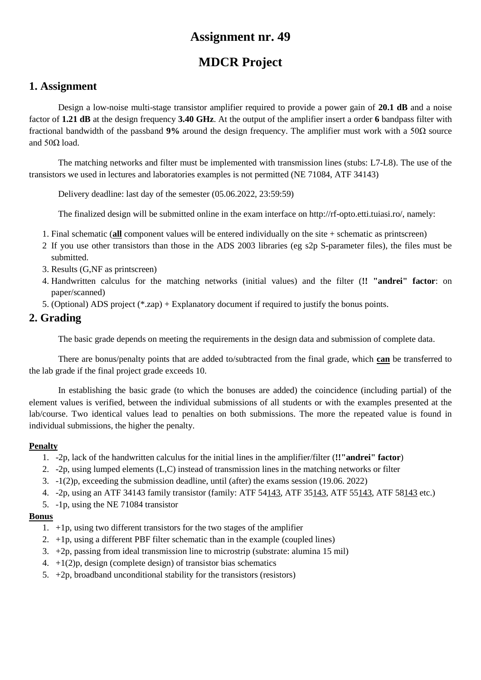# **MDCR Project**

## **1. Assignment**

Design a low-noise multi-stage transistor amplifier required to provide a power gain of **20.1 dB** and a noise factor of **1.21 dB** at the design frequency **3.40 GHz**. At the output of the amplifier insert a order **6** bandpass filter with fractional bandwidth of the passband **9%** around the design frequency. The amplifier must work with a 50Ω source and  $50Ω$  load.

The matching networks and filter must be implemented with transmission lines (stubs: L7-L8). The use of the transistors we used in lectures and laboratories examples is not permitted (NE 71084, ATF 34143)

Delivery deadline: last day of the semester (05.06.2022, 23:59:59)

The finalized design will be submitted online in the exam interface on http://rf-opto.etti.tuiasi.ro/, namely:

- 1. Final schematic (**all** component values will be entered individually on the site + schematic as printscreen)
- 2 If you use other transistors than those in the ADS 2003 libraries (eg s2p S-parameter files), the files must be submitted.
- 3. Results (G,NF as printscreen)
- 4. Handwritten calculus for the matching networks (initial values) and the filter (**!! "andrei" factor**: on paper/scanned)
- 5. (Optional) ADS project (\*.zap) + Explanatory document if required to justify the bonus points.

### **2. Grading**

The basic grade depends on meeting the requirements in the design data and submission of complete data.

There are bonus/penalty points that are added to/subtracted from the final grade, which **can** be transferred to the lab grade if the final project grade exceeds 10.

In establishing the basic grade (to which the bonuses are added) the coincidence (including partial) of the element values is verified, between the individual submissions of all students or with the examples presented at the lab/course. Two identical values lead to penalties on both submissions. The more the repeated value is found in individual submissions, the higher the penalty.

#### **Penalty**

- 1. -2p, lack of the handwritten calculus for the initial lines in the amplifier/filter (**!!"andrei" factor**)
- 2. -2p, using lumped elements (L,C) instead of transmission lines in the matching networks or filter
- 3. -1(2)p, exceeding the submission deadline, until (after) the exams session (19.06. 2022)
- 4. -2p, using an ATF 34143 family transistor (family: ATF 54143, ATF 35143, ATF 55143, ATF 58143 etc.)
- 5. -1p, using the NE 71084 transistor

- 1. +1p, using two different transistors for the two stages of the amplifier
- 2.  $+1p$ , using a different PBF filter schematic than in the example (coupled lines)
- 3. +2p, passing from ideal transmission line to microstrip (substrate: alumina 15 mil)
- 4.  $+1(2)p$ , design (complete design) of transistor bias schematics
- 5.  $+2p$ , broadband unconditional stability for the transistors (resistors)